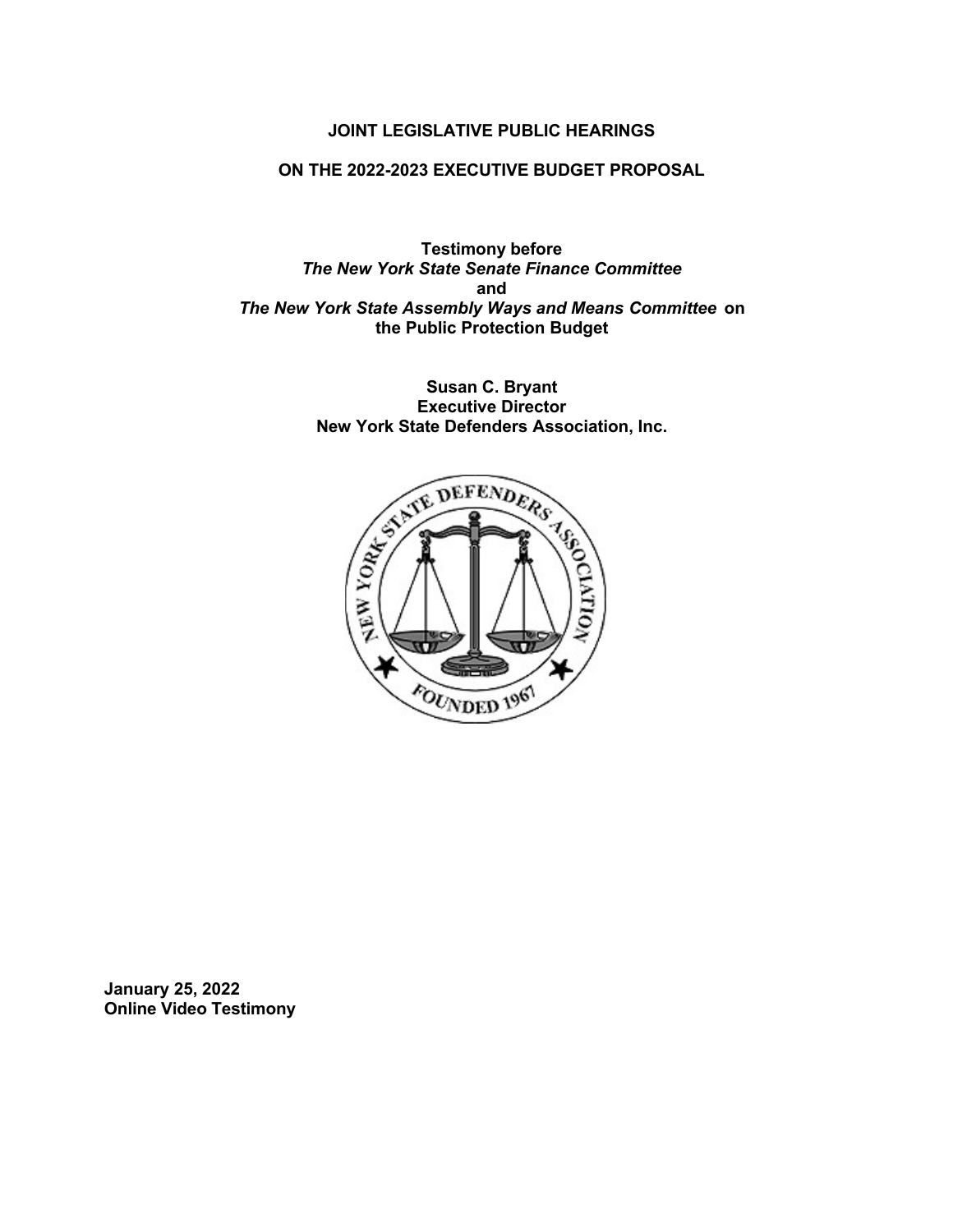#### **JOINT LEGISLATIVE PUBLIC HEARINGS**

#### **ON THE 2022-2023 EXECUTIVE BUDGET PROPOSAL**

**Testimony before** *The New York State Senate Finance Committee* **and** *The New York State Assembly Ways and Means Committee* **on the Public Protection Budget**

> **Susan C. Bryant Executive Director New York State Defenders Association, Inc.**



**January 25, 2022 Online Video Testimony**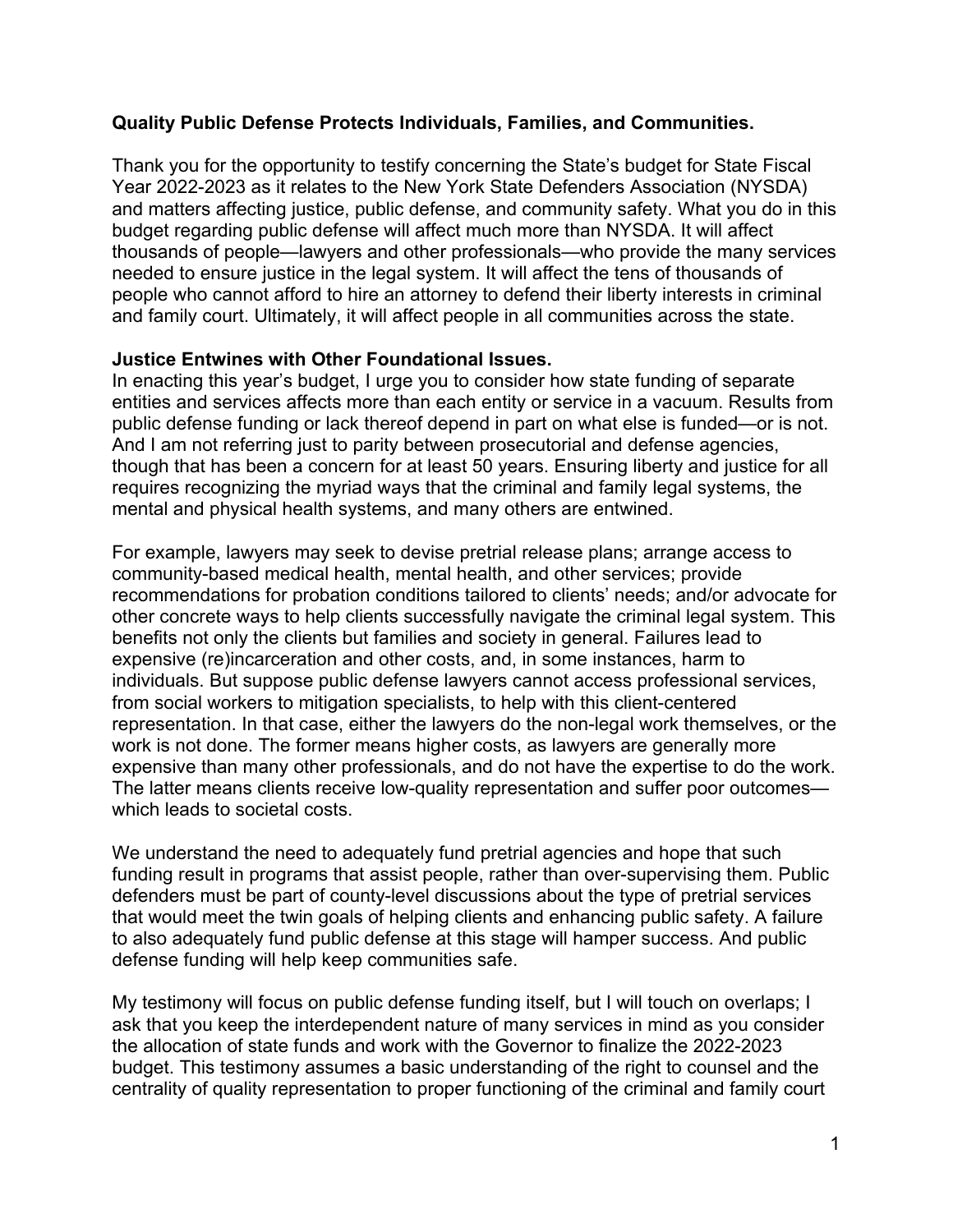#### **Quality Public Defense Protects Individuals, Families, and Communities.**

Thank you for the opportunity to testify concerning the State's budget for State Fiscal Year 2022-2023 as it relates to the New York State Defenders Association (NYSDA) and matters affecting justice, public defense, and community safety. What you do in this budget regarding public defense will affect much more than NYSDA. It will affect thousands of people—lawyers and other professionals—who provide the many services needed to ensure justice in the legal system. It will affect the tens of thousands of people who cannot afford to hire an attorney to defend their liberty interests in criminal and family court. Ultimately, it will affect people in all communities across the state.

#### **Justice Entwines with Other Foundational Issues.**

In enacting this year's budget, I urge you to consider how state funding of separate entities and services affects more than each entity or service in a vacuum. Results from public defense funding or lack thereof depend in part on what else is funded—or is not. And I am not referring just to parity between prosecutorial and defense agencies, though that has been a concern for at least 50 years. Ensuring liberty and justice for all requires recognizing the myriad ways that the criminal and family legal systems, the mental and physical health systems, and many others are entwined.

For example, lawyers may seek to devise pretrial release plans; arrange access to community-based medical health, mental health, and other services; provide recommendations for probation conditions tailored to clients' needs; and/or advocate for other concrete ways to help clients successfully navigate the criminal legal system. This benefits not only the clients but families and society in general. Failures lead to expensive (re)incarceration and other costs, and, in some instances, harm to individuals. But suppose public defense lawyers cannot access professional services, from social workers to mitigation specialists, to help with this client-centered representation. In that case, either the lawyers do the non-legal work themselves, or the work is not done. The former means higher costs, as lawyers are generally more expensive than many other professionals, and do not have the expertise to do the work. The latter means clients receive low-quality representation and suffer poor outcomes which leads to societal costs.

We understand the need to adequately fund pretrial agencies and hope that such funding result in programs that assist people, rather than over-supervising them. Public defenders must be part of county-level discussions about the type of pretrial services that would meet the twin goals of helping clients and enhancing public safety. A failure to also adequately fund public defense at this stage will hamper success. And public defense funding will help keep communities safe.

My testimony will focus on public defense funding itself, but I will touch on overlaps; I ask that you keep the interdependent nature of many services in mind as you consider the allocation of state funds and work with the Governor to finalize the 2022-2023 budget. This testimony assumes a basic understanding of the right to counsel and the centrality of quality representation to proper functioning of the criminal and family court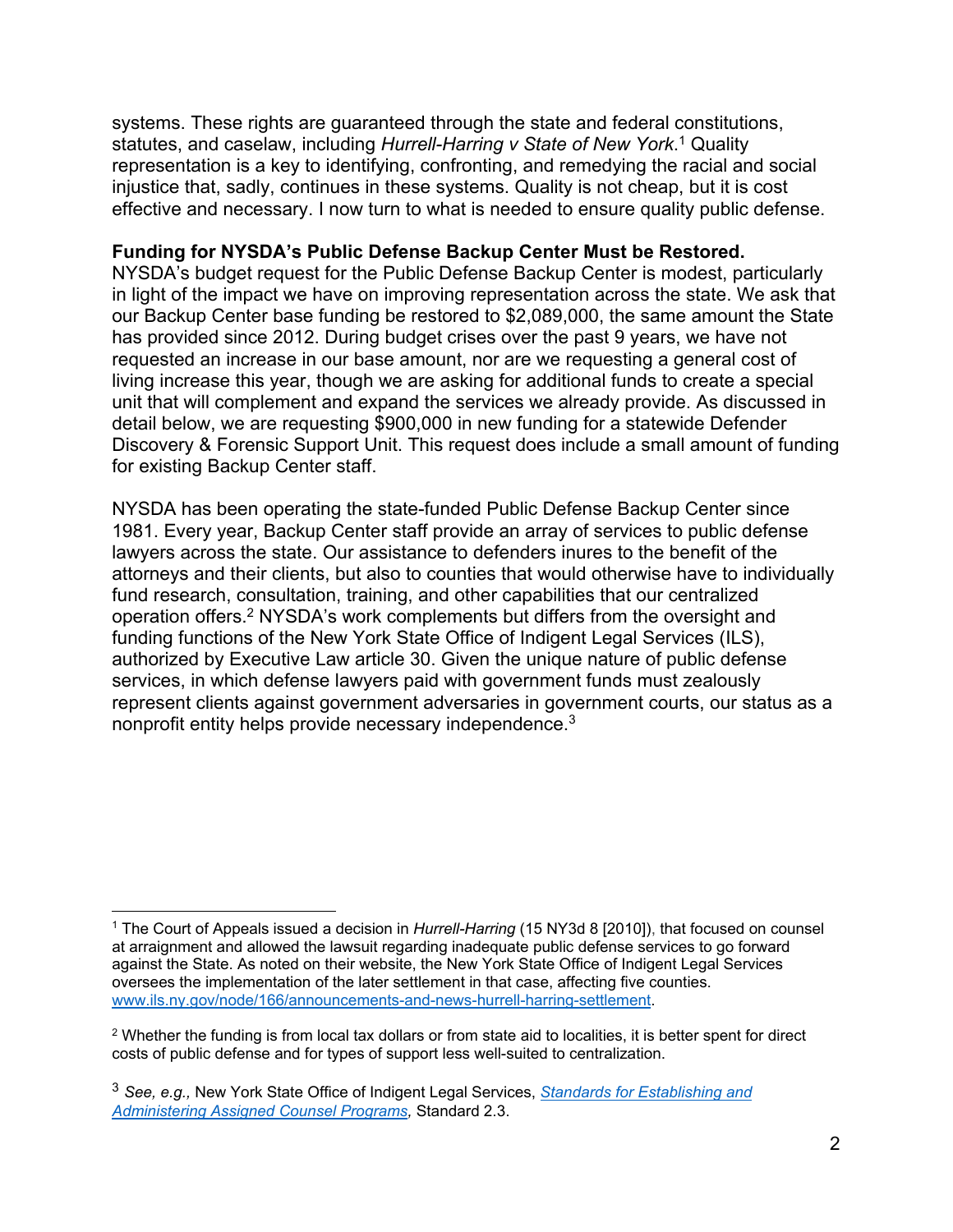systems. These rights are guaranteed through the state and federal constitutions, statutes, and caselaw, including *Hurrell-Harring v State of New York*. <sup>1</sup> Quality representation is a key to identifying, confronting, and remedying the racial and social injustice that, sadly, continues in these systems. Quality is not cheap, but it is cost effective and necessary. I now turn to what is needed to ensure quality public defense.

#### **Funding for NYSDA's Public Defense Backup Center Must be Restored.**

NYSDA's budget request for the Public Defense Backup Center is modest, particularly in light of the impact we have on improving representation across the state. We ask that our Backup Center base funding be restored to \$2,089,000, the same amount the State has provided since 2012. During budget crises over the past 9 years, we have not requested an increase in our base amount, nor are we requesting a general cost of living increase this year, though we are asking for additional funds to create a special unit that will complement and expand the services we already provide. As discussed in detail below, we are requesting \$900,000 in new funding for a statewide Defender Discovery & Forensic Support Unit. This request does include a small amount of funding for existing Backup Center staff.

NYSDA has been operating the state-funded Public Defense Backup Center since 1981. Every year, Backup Center staff provide an array of services to public defense lawyers across the state. Our assistance to defenders inures to the benefit of the attorneys and their clients, but also to counties that would otherwise have to individually fund research, consultation, training, and other capabilities that our centralized operation offers.2 NYSDA's work complements but differs from the oversight and funding functions of the New York State Office of Indigent Legal Services (ILS), authorized by Executive Law article 30. Given the unique nature of public defense services, in which defense lawyers paid with government funds must zealously represent clients against government adversaries in government courts, our status as a nonprofit entity helps provide necessary independence.<sup>3</sup>

 $\overline{a}$ 

<sup>1</sup> The Court of Appeals issued a decision in *Hurrell-Harring* (15 NY3d 8 [2010]), that focused on counsel at arraignment and allowed the lawsuit regarding inadequate public defense services to go forward against the State. As noted on their website, the New York State Office of Indigent Legal Services oversees the implementation of the later settlement in that case, affecting five counties. www.ils.ny.gov/node/166/announcements-and-news-hurrell-harring-settlement.

<sup>2</sup> Whether the funding is from local tax dollars or from state aid to localities, it is better spent for direct costs of public defense and for types of support less well-suited to centralization.

<sup>3</sup> *See, e.g.,* New York State Office of Indigent Legal Services, *Standards for Establishing and Administering Assigned Counsel Programs,* Standard 2.3.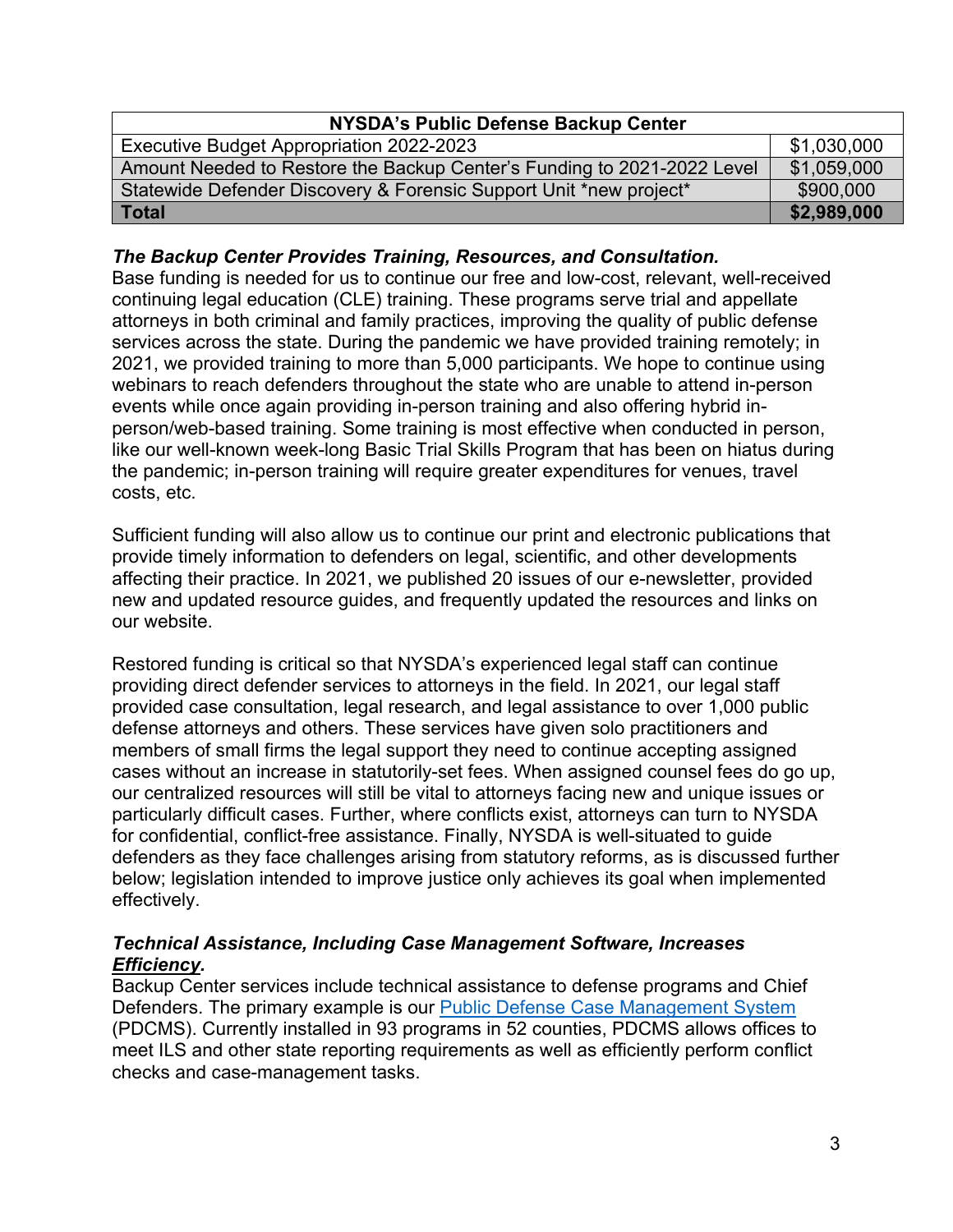| NYSDA's Public Defense Backup Center                                    |             |  |  |
|-------------------------------------------------------------------------|-------------|--|--|
| Executive Budget Appropriation 2022-2023                                | \$1,030,000 |  |  |
| Amount Needed to Restore the Backup Center's Funding to 2021-2022 Level | \$1,059,000 |  |  |
| Statewide Defender Discovery & Forensic Support Unit *new project*      | \$900,000   |  |  |
| Total                                                                   | \$2,989,000 |  |  |

#### *The Backup Center Provides Training, Resources, and Consultation.*

Base funding is needed for us to continue our free and low-cost, relevant, well-received continuing legal education (CLE) training. These programs serve trial and appellate attorneys in both criminal and family practices, improving the quality of public defense services across the state. During the pandemic we have provided training remotely; in 2021, we provided training to more than 5,000 participants. We hope to continue using webinars to reach defenders throughout the state who are unable to attend in-person events while once again providing in-person training and also offering hybrid inperson/web-based training. Some training is most effective when conducted in person, like our well-known week-long Basic Trial Skills Program that has been on hiatus during the pandemic; in-person training will require greater expenditures for venues, travel costs, etc.

Sufficient funding will also allow us to continue our print and electronic publications that provide timely information to defenders on legal, scientific, and other developments affecting their practice. In 2021, we published 20 issues of our e-newsletter, provided new and updated resource guides, and frequently updated the resources and links on our website.

Restored funding is critical so that NYSDA's experienced legal staff can continue providing direct defender services to attorneys in the field. In 2021, our legal staff provided case consultation, legal research, and legal assistance to over 1,000 public defense attorneys and others. These services have given solo practitioners and members of small firms the legal support they need to continue accepting assigned cases without an increase in statutorily-set fees. When assigned counsel fees do go up, our centralized resources will still be vital to attorneys facing new and unique issues or particularly difficult cases. Further, where conflicts exist, attorneys can turn to NYSDA for confidential, conflict-free assistance. Finally, NYSDA is well-situated to guide defenders as they face challenges arising from statutory reforms, as is discussed further below; legislation intended to improve justice only achieves its goal when implemented effectively.

#### *Technical Assistance, Including Case Management Software, Increases Efficiency.*

Backup Center services include technical assistance to defense programs and Chief Defenders. The primary example is our **Public Defense Case Management System** (PDCMS). Currently installed in 93 programs in 52 counties, PDCMS allows offices to meet ILS and other state reporting requirements as well as efficiently perform conflict checks and case-management tasks.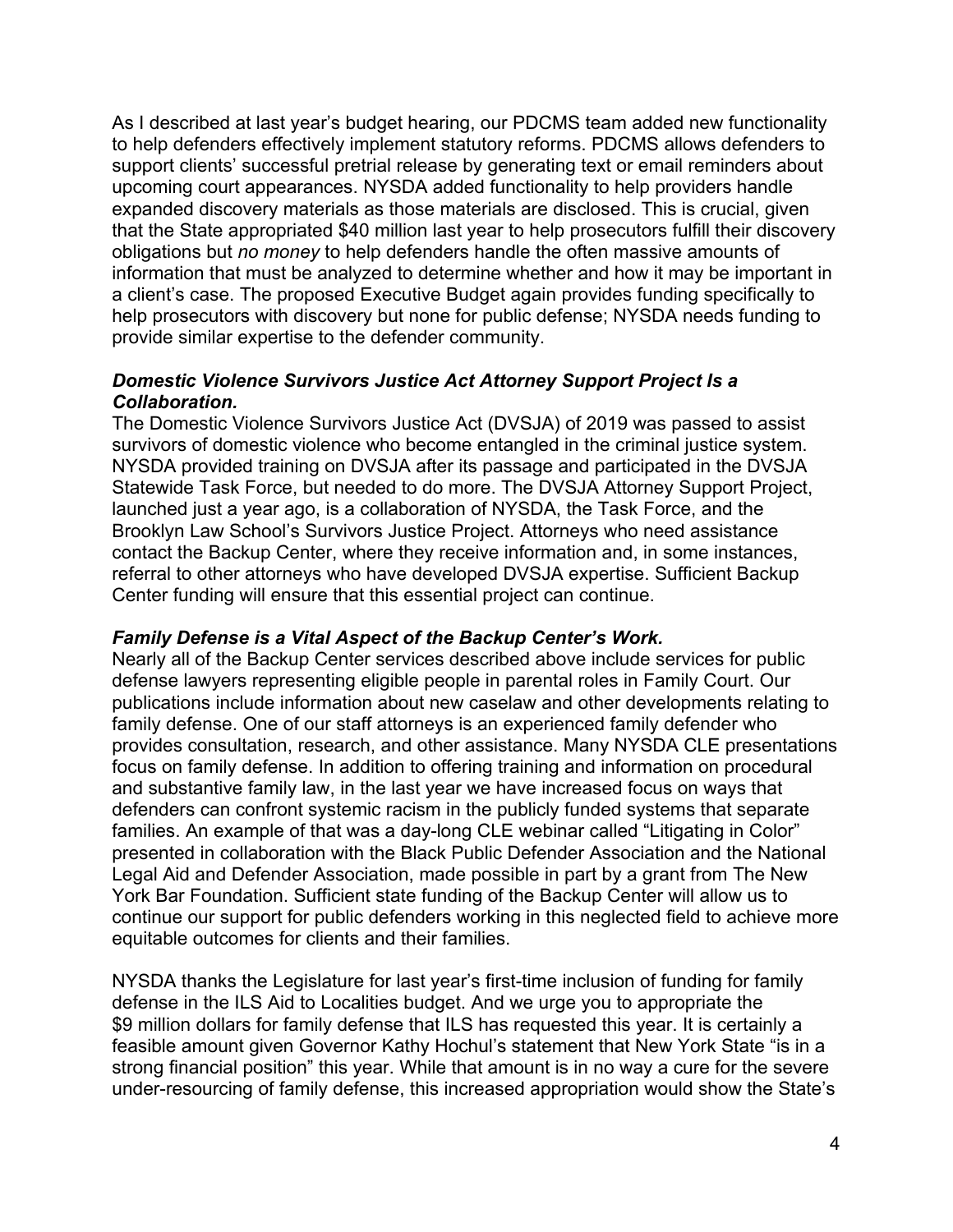As I described at last year's budget hearing, our PDCMS team added new functionality to help defenders effectively implement statutory reforms. PDCMS allows defenders to support clients' successful pretrial release by generating text or email reminders about upcoming court appearances. NYSDA added functionality to help providers handle expanded discovery materials as those materials are disclosed. This is crucial, given that the State appropriated \$40 million last year to help prosecutors fulfill their discovery obligations but *no money* to help defenders handle the often massive amounts of information that must be analyzed to determine whether and how it may be important in a client's case. The proposed Executive Budget again provides funding specifically to help prosecutors with discovery but none for public defense; NYSDA needs funding to provide similar expertise to the defender community.

#### *Domestic Violence Survivors Justice Act Attorney Support Project Is a Collaboration.*

The Domestic Violence Survivors Justice Act (DVSJA) of 2019 was passed to assist survivors of domestic violence who become entangled in the criminal justice system. NYSDA provided training on DVSJA after its passage and participated in the DVSJA Statewide Task Force, but needed to do more. The DVSJA Attorney Support Project, launched just a year ago, is a collaboration of NYSDA, the Task Force, and the Brooklyn Law School's Survivors Justice Project. Attorneys who need assistance contact the Backup Center, where they receive information and, in some instances, referral to other attorneys who have developed DVSJA expertise. Sufficient Backup Center funding will ensure that this essential project can continue.

#### *Family Defense is a Vital Aspect of the Backup Center's Work.*

Nearly all of the Backup Center services described above include services for public defense lawyers representing eligible people in parental roles in Family Court. Our publications include information about new caselaw and other developments relating to family defense. One of our staff attorneys is an experienced family defender who provides consultation, research, and other assistance. Many NYSDA CLE presentations focus on family defense. In addition to offering training and information on procedural and substantive family law, in the last year we have increased focus on ways that defenders can confront systemic racism in the publicly funded systems that separate families. An example of that was a day-long CLE webinar called "Litigating in Color" presented in collaboration with the Black Public Defender Association and the National Legal Aid and Defender Association, made possible in part by a grant from The New York Bar Foundation. Sufficient state funding of the Backup Center will allow us to continue our support for public defenders working in this neglected field to achieve more equitable outcomes for clients and their families.

NYSDA thanks the Legislature for last year's first-time inclusion of funding for family defense in the ILS Aid to Localities budget. And we urge you to appropriate the \$9 million dollars for family defense that ILS has requested this year. It is certainly a feasible amount given Governor Kathy Hochul's statement that New York State "is in a strong financial position" this year. While that amount is in no way a cure for the severe under-resourcing of family defense, this increased appropriation would show the State's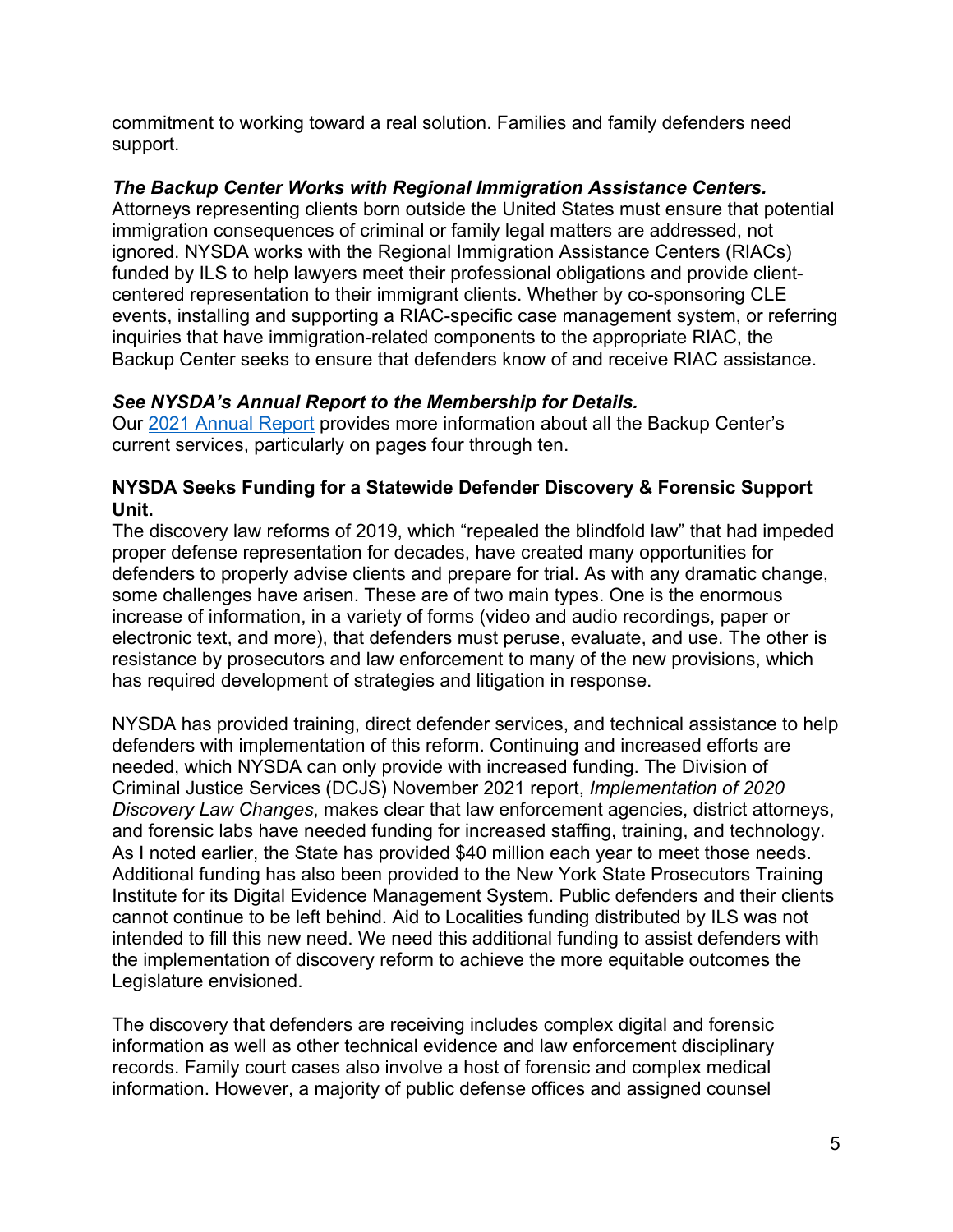commitment to working toward a real solution. Families and family defenders need support.

# *The Backup Center Works with Regional Immigration Assistance Centers.*

Attorneys representing clients born outside the United States must ensure that potential immigration consequences of criminal or family legal matters are addressed, not ignored. NYSDA works with the Regional Immigration Assistance Centers (RIACs) funded by ILS to help lawyers meet their professional obligations and provide clientcentered representation to their immigrant clients. Whether by co-sponsoring CLE events, installing and supporting a RIAC-specific case management system, or referring inquiries that have immigration-related components to the appropriate RIAC, the Backup Center seeks to ensure that defenders know of and receive RIAC assistance.

# *See NYSDA's Annual Report to the Membership for Details.*

Our 2021 Annual Report provides more information about all the Backup Center's current services, particularly on pages four through ten.

#### **NYSDA Seeks Funding for a Statewide Defender Discovery & Forensic Support Unit.**

The discovery law reforms of 2019, which "repealed the blindfold law" that had impeded proper defense representation for decades, have created many opportunities for defenders to properly advise clients and prepare for trial. As with any dramatic change, some challenges have arisen. These are of two main types. One is the enormous increase of information, in a variety of forms (video and audio recordings, paper or electronic text, and more), that defenders must peruse, evaluate, and use. The other is resistance by prosecutors and law enforcement to many of the new provisions, which has required development of strategies and litigation in response.

NYSDA has provided training, direct defender services, and technical assistance to help defenders with implementation of this reform. Continuing and increased efforts are needed, which NYSDA can only provide with increased funding. The Division of Criminal Justice Services (DCJS) November 2021 report, *Implementation of 2020 Discovery Law Changes*, makes clear that law enforcement agencies, district attorneys, and forensic labs have needed funding for increased staffing, training, and technology. As I noted earlier, the State has provided \$40 million each year to meet those needs. Additional funding has also been provided to the New York State Prosecutors Training Institute for its Digital Evidence Management System. Public defenders and their clients cannot continue to be left behind. Aid to Localities funding distributed by ILS was not intended to fill this new need. We need this additional funding to assist defenders with the implementation of discovery reform to achieve the more equitable outcomes the Legislature envisioned.

The discovery that defenders are receiving includes complex digital and forensic information as well as other technical evidence and law enforcement disciplinary records. Family court cases also involve a host of forensic and complex medical information. However, a majority of public defense offices and assigned counsel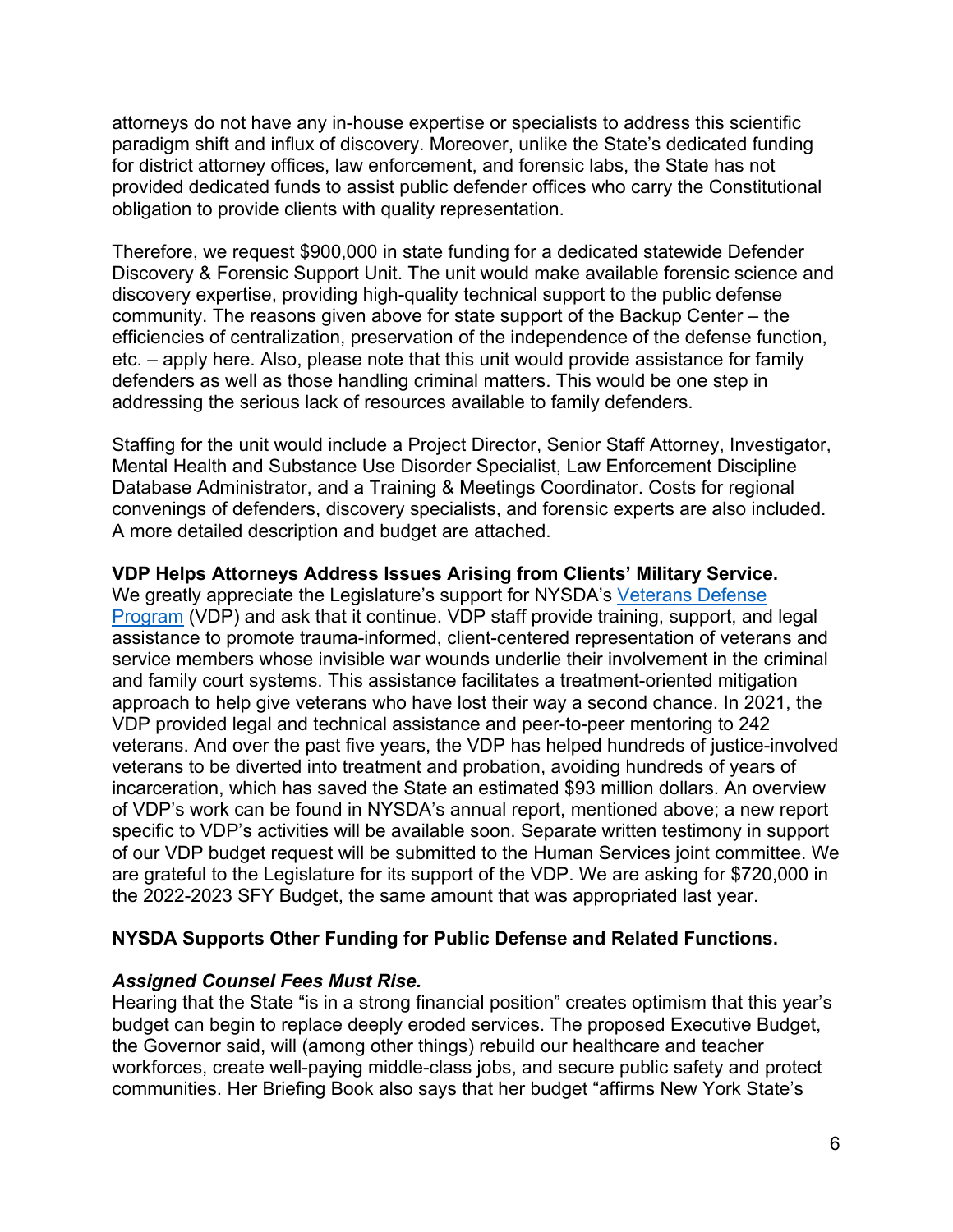attorneys do not have any in-house expertise or specialists to address this scientific paradigm shift and influx of discovery. Moreover, unlike the State's dedicated funding for district attorney offices, law enforcement, and forensic labs, the State has not provided dedicated funds to assist public defender offices who carry the Constitutional obligation to provide clients with quality representation.

Therefore, we request \$900,000 in state funding for a dedicated statewide Defender Discovery & Forensic Support Unit. The unit would make available forensic science and discovery expertise, providing high-quality technical support to the public defense community. The reasons given above for state support of the Backup Center – the efficiencies of centralization, preservation of the independence of the defense function, etc. – apply here. Also, please note that this unit would provide assistance for family defenders as well as those handling criminal matters. This would be one step in addressing the serious lack of resources available to family defenders.

Staffing for the unit would include a Project Director, Senior Staff Attorney, Investigator, Mental Health and Substance Use Disorder Specialist, Law Enforcement Discipline Database Administrator, and a Training & Meetings Coordinator. Costs for regional convenings of defenders, discovery specialists, and forensic experts are also included. A more detailed description and budget are attached.

#### **VDP Helps Attorneys Address Issues Arising from Clients' Military Service.**

We greatly appreciate the Legislature's support for NYSDA's Veterans Defense Program (VDP) and ask that it continue. VDP staff provide training, support, and legal assistance to promote trauma-informed, client-centered representation of veterans and service members whose invisible war wounds underlie their involvement in the criminal and family court systems. This assistance facilitates a treatment-oriented mitigation approach to help give veterans who have lost their way a second chance. In 2021, the VDP provided legal and technical assistance and peer-to-peer mentoring to 242 veterans. And over the past five years, the VDP has helped hundreds of justice-involved veterans to be diverted into treatment and probation, avoiding hundreds of years of incarceration, which has saved the State an estimated \$93 million dollars. An overview of VDP's work can be found in NYSDA's annual report, mentioned above; a new report specific to VDP's activities will be available soon. Separate written testimony in support of our VDP budget request will be submitted to the Human Services joint committee. We are grateful to the Legislature for its support of the VDP. We are asking for \$720,000 in the 2022-2023 SFY Budget, the same amount that was appropriated last year.

#### **NYSDA Supports Other Funding for Public Defense and Related Functions.**

#### *Assigned Counsel Fees Must Rise.*

Hearing that the State "is in a strong financial position" creates optimism that this year's budget can begin to replace deeply eroded services. The proposed Executive Budget, the Governor said, will (among other things) rebuild our healthcare and teacher workforces, create well-paying middle-class jobs, and secure public safety and protect communities. Her Briefing Book also says that her budget "affirms New York State's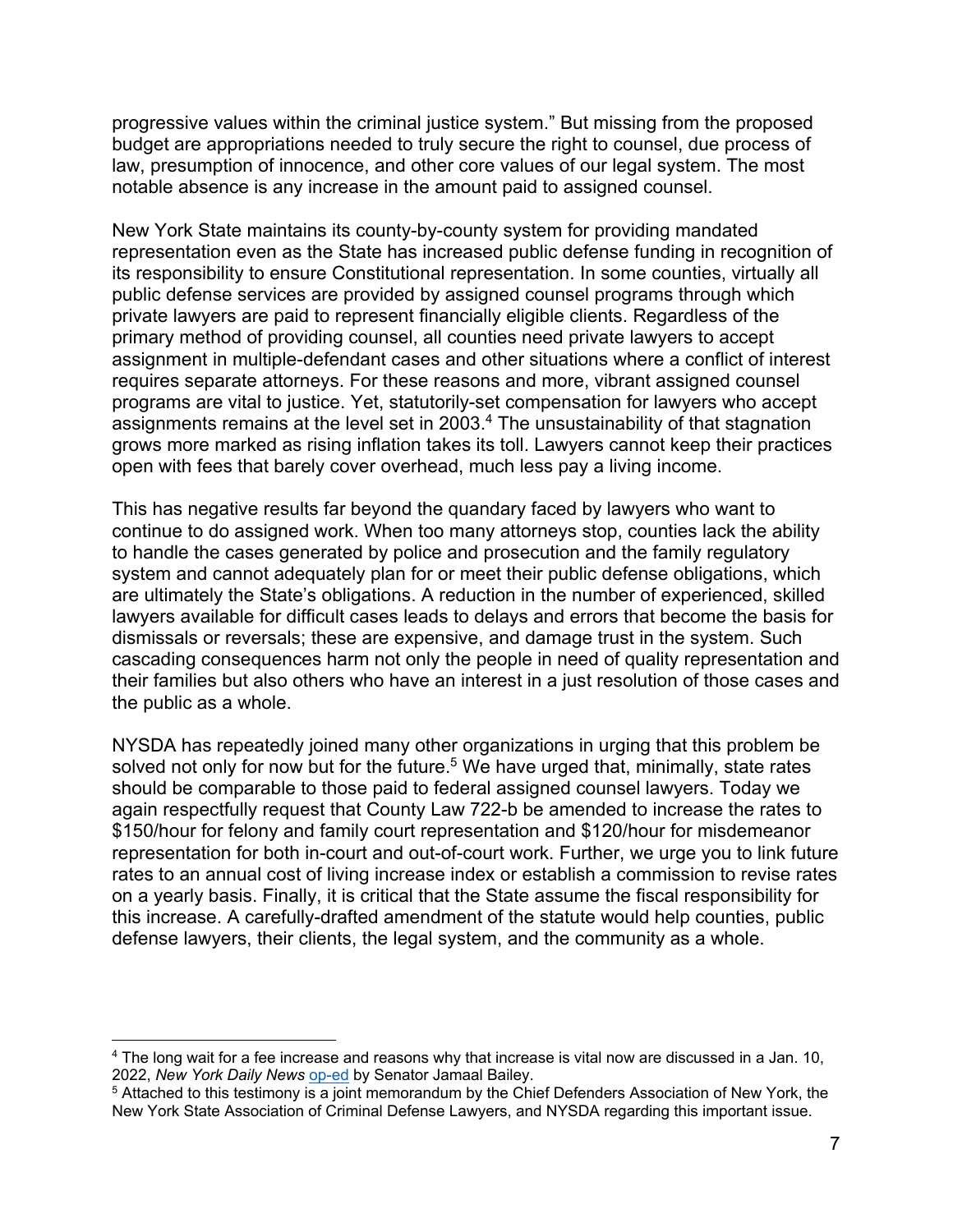progressive values within the criminal justice system." But missing from the proposed budget are appropriations needed to truly secure the right to counsel, due process of law, presumption of innocence, and other core values of our legal system. The most notable absence is any increase in the amount paid to assigned counsel.

New York State maintains its county-by-county system for providing mandated representation even as the State has increased public defense funding in recognition of its responsibility to ensure Constitutional representation. In some counties, virtually all public defense services are provided by assigned counsel programs through which private lawyers are paid to represent financially eligible clients. Regardless of the primary method of providing counsel, all counties need private lawyers to accept assignment in multiple-defendant cases and other situations where a conflict of interest requires separate attorneys. For these reasons and more, vibrant assigned counsel programs are vital to justice. Yet, statutorily-set compensation for lawyers who accept assignments remains at the level set in 2003.4 The unsustainability of that stagnation grows more marked as rising inflation takes its toll. Lawyers cannot keep their practices open with fees that barely cover overhead, much less pay a living income.

This has negative results far beyond the quandary faced by lawyers who want to continue to do assigned work. When too many attorneys stop, counties lack the ability to handle the cases generated by police and prosecution and the family regulatory system and cannot adequately plan for or meet their public defense obligations, which are ultimately the State's obligations. A reduction in the number of experienced, skilled lawyers available for difficult cases leads to delays and errors that become the basis for dismissals or reversals; these are expensive, and damage trust in the system. Such cascading consequences harm not only the people in need of quality representation and their families but also others who have an interest in a just resolution of those cases and the public as a whole.

NYSDA has repeatedly joined many other organizations in urging that this problem be solved not only for now but for the future.<sup>5</sup> We have urged that, minimally, state rates should be comparable to those paid to federal assigned counsel lawyers. Today we again respectfully request that County Law 722-b be amended to increase the rates to \$150/hour for felony and family court representation and \$120/hour for misdemeanor representation for both in-court and out-of-court work. Further, we urge you to link future rates to an annual cost of living increase index or establish a commission to revise rates on a yearly basis. Finally, it is critical that the State assume the fiscal responsibility for this increase. A carefully-drafted amendment of the statute would help counties, public defense lawyers, their clients, the legal system, and the community as a whole.

1

<sup>4</sup> The long wait for a fee increase and reasons why that increase is vital now are discussed in a Jan. 10, 2022, *New York Daily News* op-ed by Senator Jamaal Bailey.

<sup>5</sup> Attached to this testimony is a joint memorandum by the Chief Defenders Association of New York, the New York State Association of Criminal Defense Lawyers, and NYSDA regarding this important issue.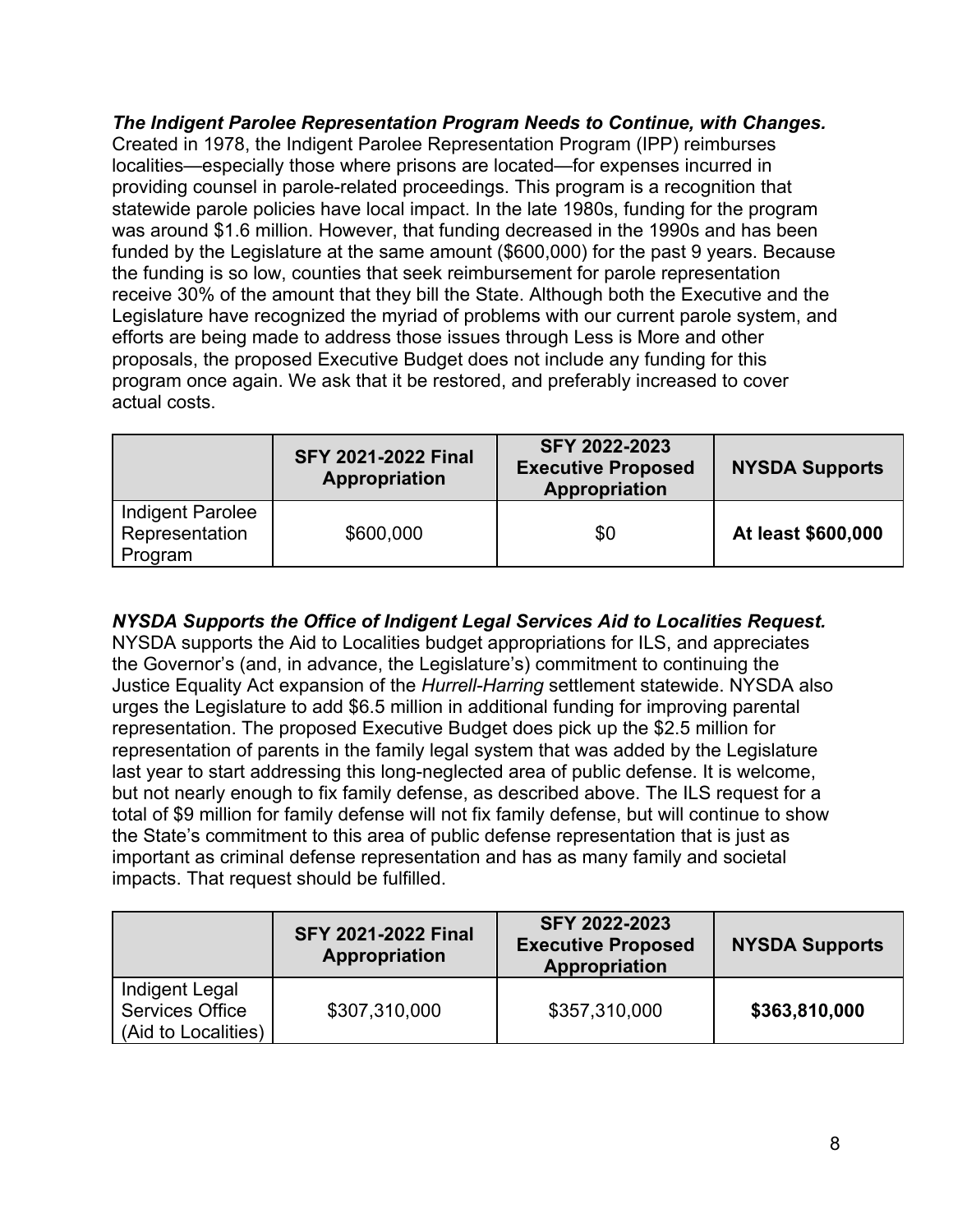*The Indigent Parolee Representation Program Needs to Continue, with Changes.*  Created in 1978, the Indigent Parolee Representation Program (IPP) reimburses localities—especially those where prisons are located—for expenses incurred in providing counsel in parole-related proceedings. This program is a recognition that statewide parole policies have local impact. In the late 1980s, funding for the program was around \$1.6 million. However, that funding decreased in the 1990s and has been funded by the Legislature at the same amount (\$600,000) for the past 9 years. Because the funding is so low, counties that seek reimbursement for parole representation receive 30% of the amount that they bill the State. Although both the Executive and the Legislature have recognized the myriad of problems with our current parole system, and efforts are being made to address those issues through Less is More and other proposals, the proposed Executive Budget does not include any funding for this program once again. We ask that it be restored, and preferably increased to cover actual costs.

|                                               | <b>SFY 2021-2022 Final</b><br>Appropriation | SFY 2022-2023<br><b>Executive Proposed</b><br>Appropriation | <b>NYSDA Supports</b> |
|-----------------------------------------------|---------------------------------------------|-------------------------------------------------------------|-----------------------|
| Indigent Parolee<br>Representation<br>Program | \$600,000                                   | \$0                                                         | At least \$600,000    |

# *NYSDA Supports the Office of Indigent Legal Services Aid to Localities Request.*

NYSDA supports the Aid to Localities budget appropriations for ILS, and appreciates the Governor's (and, in advance, the Legislature's) commitment to continuing the Justice Equality Act expansion of the *Hurrell-Harring* settlement statewide. NYSDA also urges the Legislature to add \$6.5 million in additional funding for improving parental representation. The proposed Executive Budget does pick up the \$2.5 million for representation of parents in the family legal system that was added by the Legislature last year to start addressing this long-neglected area of public defense. It is welcome, but not nearly enough to fix family defense, as described above. The ILS request for a total of \$9 million for family defense will not fix family defense, but will continue to show the State's commitment to this area of public defense representation that is just as important as criminal defense representation and has as many family and societal impacts. That request should be fulfilled.

|                                                                 | <b>SFY 2021-2022 Final</b><br>Appropriation | SFY 2022-2023<br><b>Executive Proposed</b><br>Appropriation | <b>NYSDA Supports</b> |
|-----------------------------------------------------------------|---------------------------------------------|-------------------------------------------------------------|-----------------------|
| Indigent Legal<br><b>Services Office</b><br>(Aid to Localities) | \$307,310,000                               | \$357,310,000                                               | \$363,810,000         |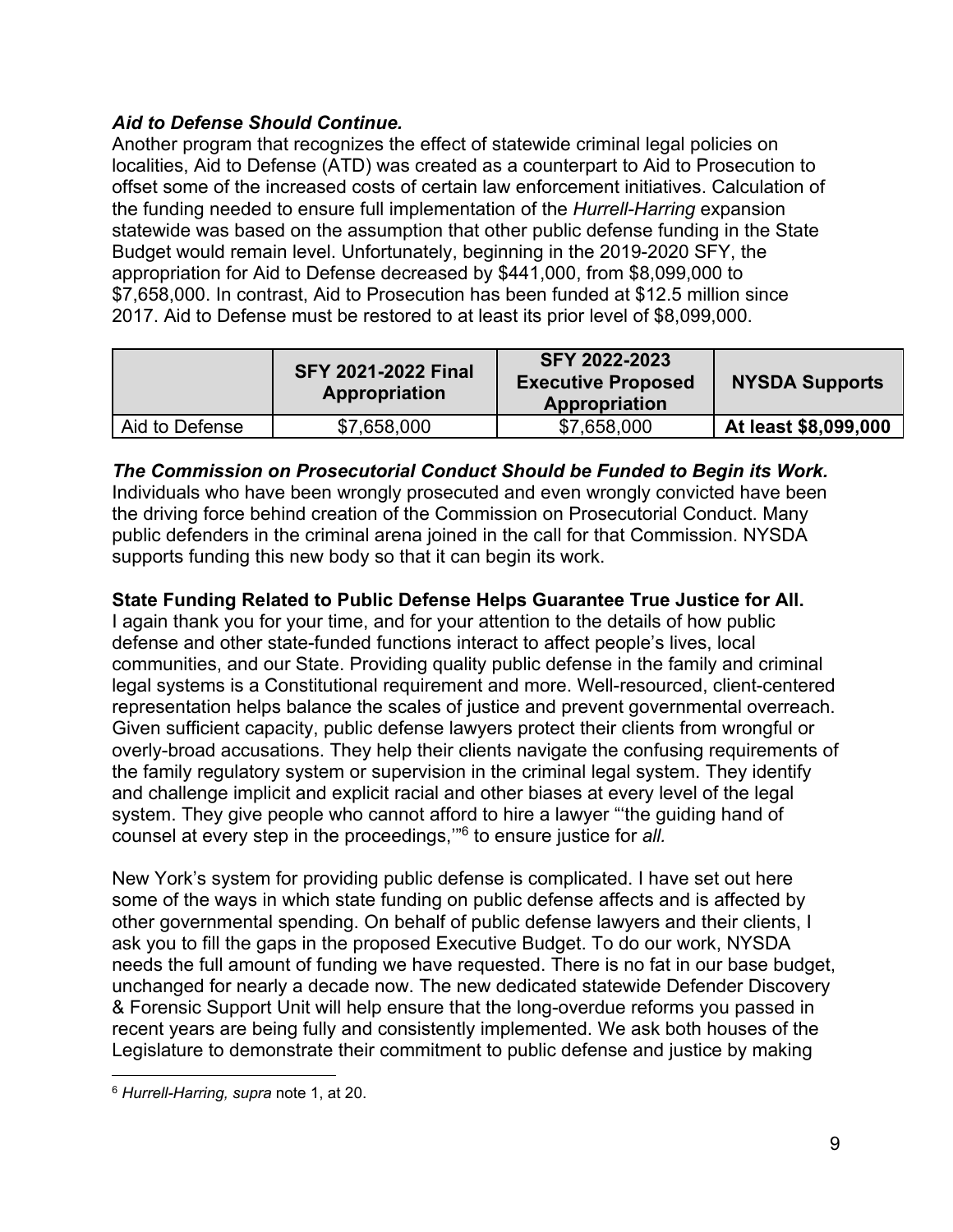# *Aid to Defense Should Continue.*

Another program that recognizes the effect of statewide criminal legal policies on localities, Aid to Defense (ATD) was created as a counterpart to Aid to Prosecution to offset some of the increased costs of certain law enforcement initiatives. Calculation of the funding needed to ensure full implementation of the *Hurrell-Harring* expansion statewide was based on the assumption that other public defense funding in the State Budget would remain level. Unfortunately, beginning in the 2019-2020 SFY, the appropriation for Aid to Defense decreased by \$441,000, from \$8,099,000 to \$7,658,000. In contrast, Aid to Prosecution has been funded at \$12.5 million since 2017. Aid to Defense must be restored to at least its prior level of \$8,099,000.

|                | <b>SFY 2021-2022 Final</b><br><b>Appropriation</b> | <b>SFY 2022-2023</b><br><b>Executive Proposed</b><br>Appropriation | <b>NYSDA Supports</b> |
|----------------|----------------------------------------------------|--------------------------------------------------------------------|-----------------------|
| Aid to Defense | \$7,658,000                                        | \$7,658,000                                                        | At least \$8,099,000  |

#### *The Commission on Prosecutorial Conduct Should be Funded to Begin its Work.*

Individuals who have been wrongly prosecuted and even wrongly convicted have been the driving force behind creation of the Commission on Prosecutorial Conduct. Many public defenders in the criminal arena joined in the call for that Commission. NYSDA supports funding this new body so that it can begin its work.

#### **State Funding Related to Public Defense Helps Guarantee True Justice for All.**

I again thank you for your time, and for your attention to the details of how public defense and other state-funded functions interact to affect people's lives, local communities, and our State. Providing quality public defense in the family and criminal legal systems is a Constitutional requirement and more. Well-resourced, client-centered representation helps balance the scales of justice and prevent governmental overreach. Given sufficient capacity, public defense lawyers protect their clients from wrongful or overly-broad accusations. They help their clients navigate the confusing requirements of the family regulatory system or supervision in the criminal legal system. They identify and challenge implicit and explicit racial and other biases at every level of the legal system. They give people who cannot afford to hire a lawyer "'the guiding hand of counsel at every step in the proceedings,'"6 to ensure justice for *all.*

New York's system for providing public defense is complicated. I have set out here some of the ways in which state funding on public defense affects and is affected by other governmental spending. On behalf of public defense lawyers and their clients, I ask you to fill the gaps in the proposed Executive Budget. To do our work, NYSDA needs the full amount of funding we have requested. There is no fat in our base budget, unchanged for nearly a decade now. The new dedicated statewide Defender Discovery & Forensic Support Unit will help ensure that the long-overdue reforms you passed in recent years are being fully and consistently implemented. We ask both houses of the Legislature to demonstrate their commitment to public defense and justice by making

 $\overline{a}$ 

<sup>6</sup> *Hurrell-Harring, supra* note 1, at 20.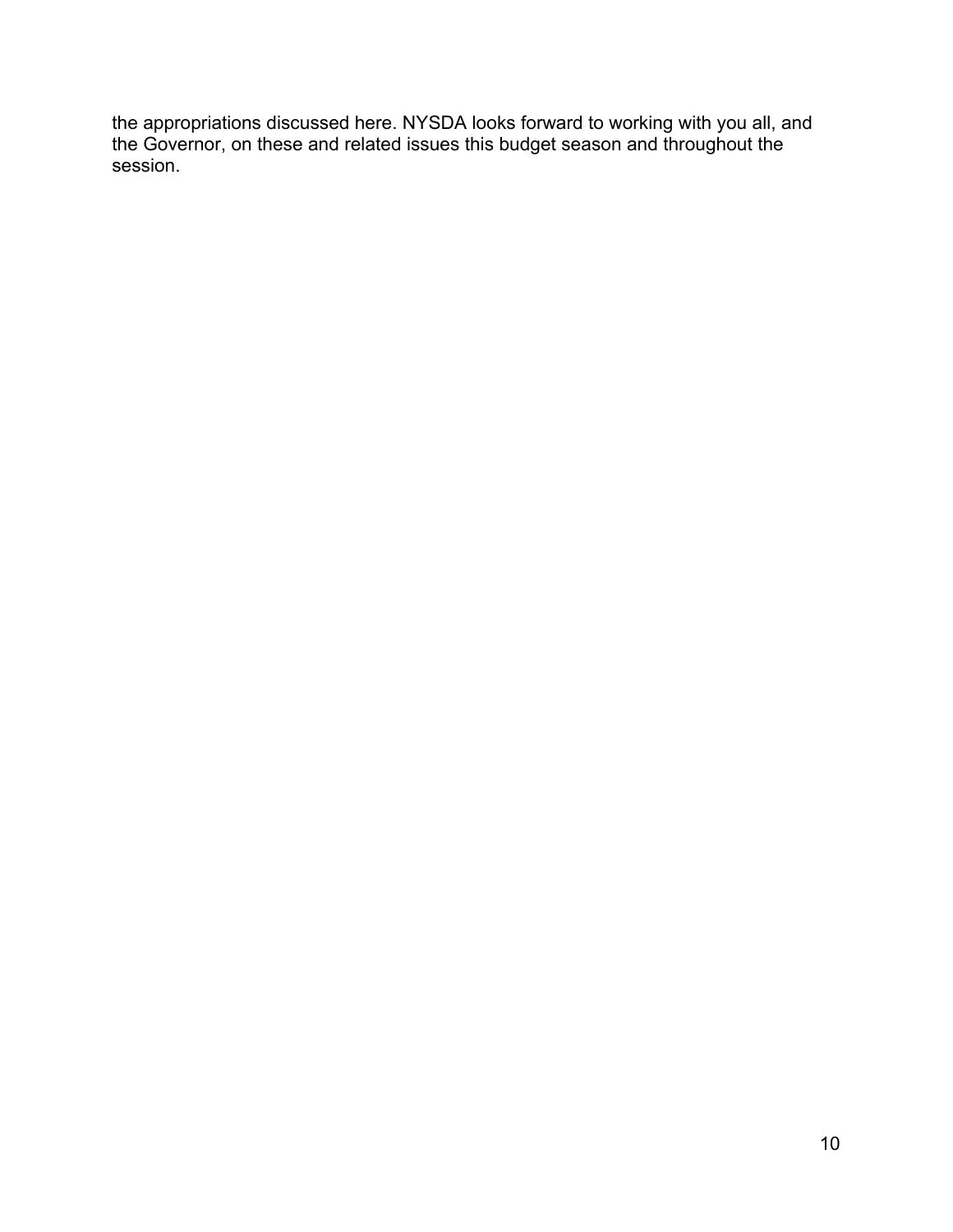the appropriations discussed here. NYSDA looks forward to working with you all, and the Governor, on these and related issues this budget season and throughout the session.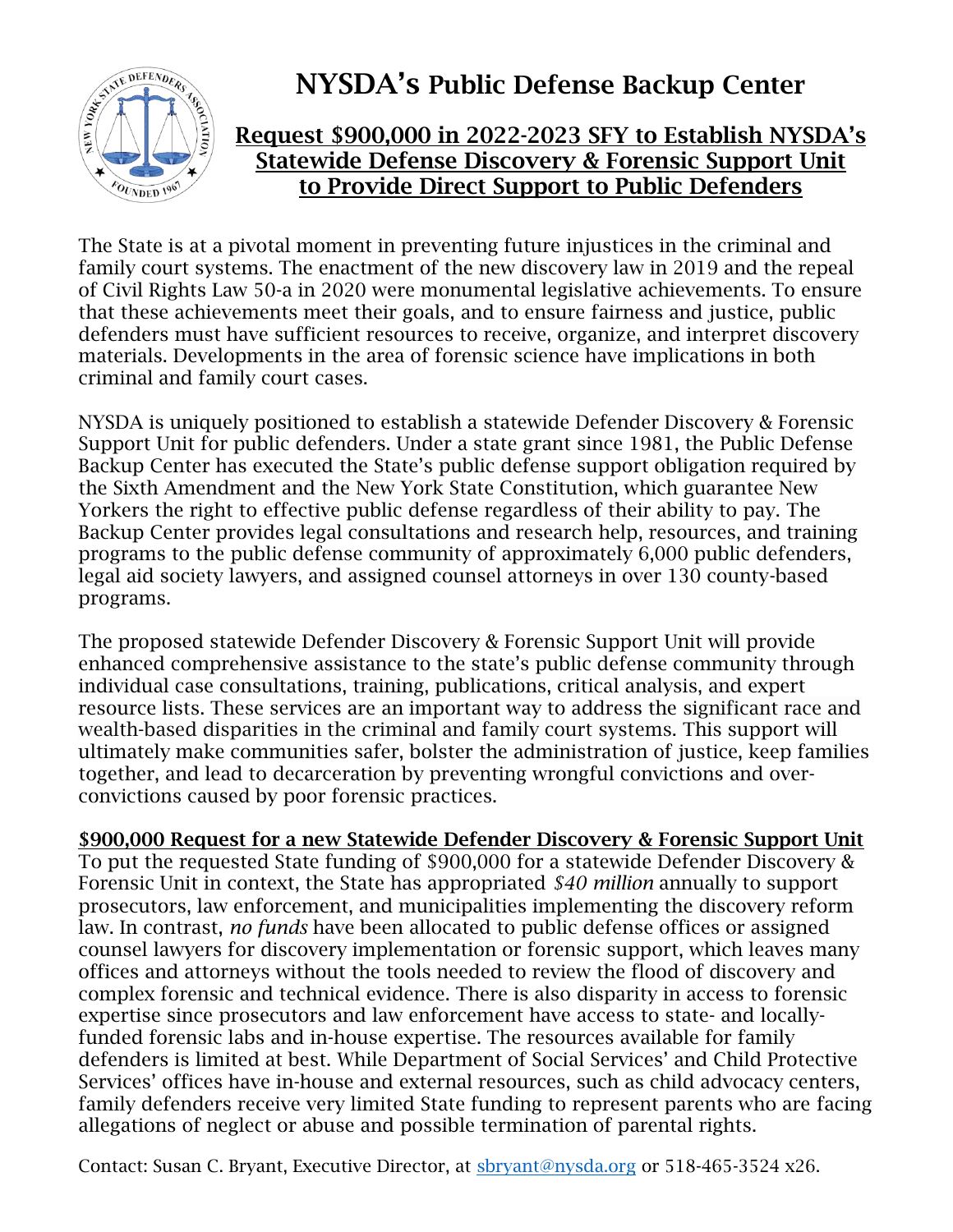

# **NYSDA's Public Defense Backup Center**

# **Request \$900,000 in 2022-2023 SFY to Establish NYSDA's Statewide Defense Discovery & Forensic Support Unit to Provide Direct Support to Public Defenders**

The State is at a pivotal moment in preventing future injustices in the criminal and family court systems. The enactment of the new discovery law in 2019 and the repeal of Civil Rights Law 50-a in 2020 were monumental legislative achievements. To ensure that these achievements meet their goals, and to ensure fairness and justice, public defenders must have sufficient resources to receive, organize, and interpret discovery materials. Developments in the area of forensic science have implications in both criminal and family court cases.

NYSDA is uniquely positioned to establish a statewide Defender Discovery & Forensic Support Unit for public defenders. Under a state grant since 1981, the Public Defense Backup Center has executed the State's public defense support obligation required by the Sixth Amendment and the New York State Constitution, which guarantee New Yorkers the right to effective public defense regardless of their ability to pay. The Backup Center provides legal consultations and research help, resources, and training programs to the public defense community of approximately 6,000 public defenders, legal aid society lawyers, and assigned counsel attorneys in over 130 county-based programs.

The proposed statewide Defender Discovery & Forensic Support Unit will provide enhanced comprehensive assistance to the state's public defense community through individual case consultations, training, publications, critical analysis, and expert resource lists. These services are an important way to address the significant race and wealth-based disparities in the criminal and family court systems. This support will ultimately make communities safer, bolster the administration of justice, keep families together, and lead to decarceration by preventing wrongful convictions and overconvictions caused by poor forensic practices.

# **\$900,000 Request for a new Statewide Defender Discovery & Forensic Support Unit**

To put the requested State funding of \$900,000 for a statewide Defender Discovery & Forensic Unit in context, the State has appropriated *\$40 million* annually to support prosecutors, law enforcement, and municipalities implementing the discovery reform law. In contrast, *no funds* have been allocated to public defense offices or assigned counsel lawyers for discovery implementation or forensic support, which leaves many offices and attorneys without the tools needed to review the flood of discovery and complex forensic and technical evidence. There is also disparity in access to forensic expertise since prosecutors and law enforcement have access to state- and locallyfunded forensic labs and in-house expertise. The resources available for family defenders is limited at best. While Department of Social Services' and Child Protective Services' offices have in-house and external resources, such as child advocacy centers, family defenders receive very limited State funding to represent parents who are facing allegations of neglect or abuse and possible termination of parental rights.

Contact: Susan C. Bryant, Executive Director, at [sbryant@nysda.org](mailto:sbryant@nysda.org) or 518-465-3524 x26.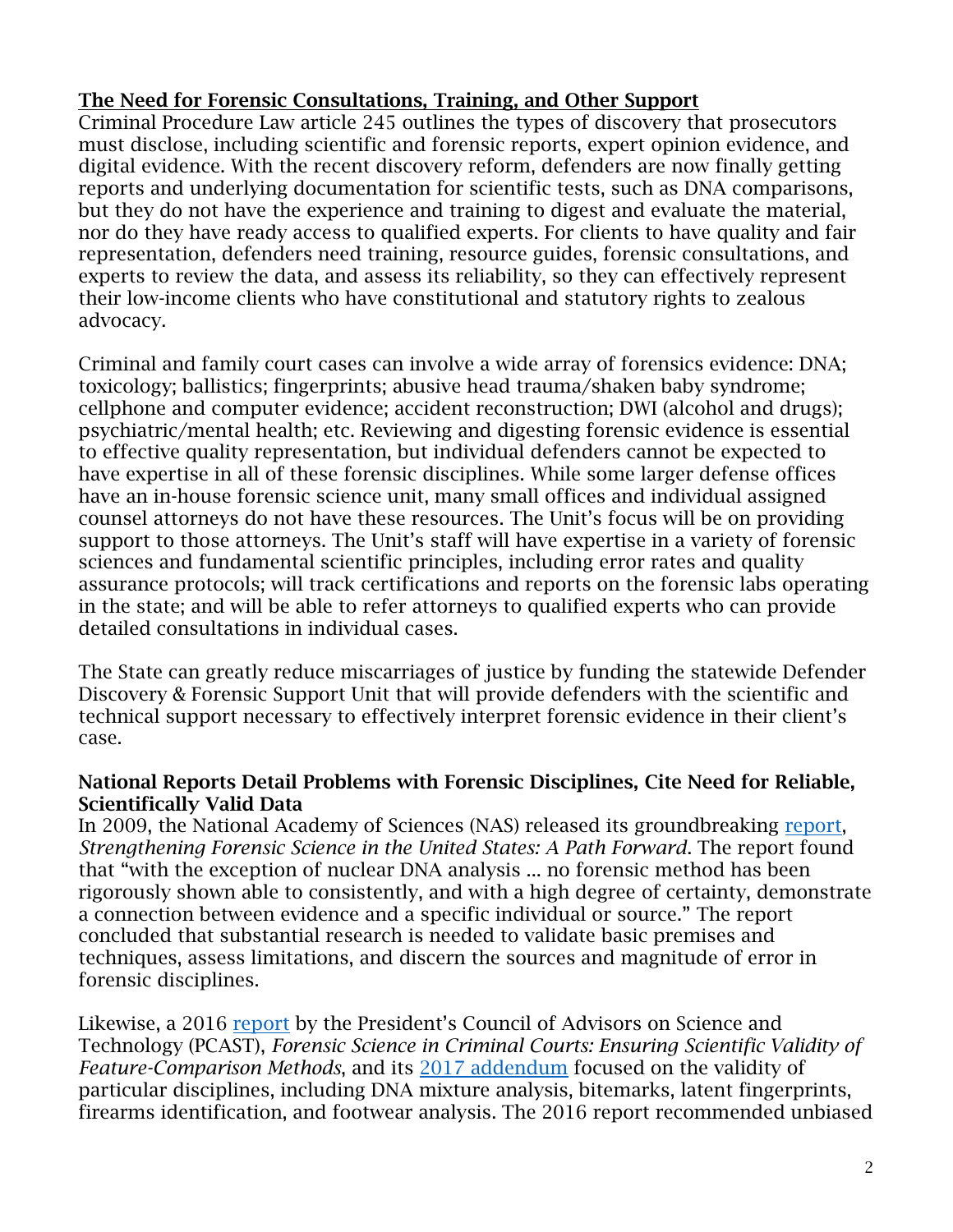# **The Need for Forensic Consultations, Training, and Other Support**

Criminal Procedure Law article 245 outlines the types of discovery that prosecutors must disclose, including scientific and forensic reports, expert opinion evidence, and digital evidence. With the recent discovery reform, defenders are now finally getting reports and underlying documentation for scientific tests, such as DNA comparisons, but they do not have the experience and training to digest and evaluate the material, nor do they have ready access to qualified experts. For clients to have quality and fair representation, defenders need training, resource guides, forensic consultations, and experts to review the data, and assess its reliability, so they can effectively represent their low-income clients who have constitutional and statutory rights to zealous advocacy.

Criminal and family court cases can involve a wide array of forensics evidence: DNA; toxicology; ballistics; fingerprints; abusive head trauma/shaken baby syndrome; cellphone and computer evidence; accident reconstruction; DWI (alcohol and drugs); psychiatric/mental health; etc. Reviewing and digesting forensic evidence is essential to effective quality representation, but individual defenders cannot be expected to have expertise in all of these forensic disciplines. While some larger defense offices have an in-house forensic science unit, many small offices and individual assigned counsel attorneys do not have these resources. The Unit's focus will be on providing support to those attorneys. The Unit's staff will have expertise in a variety of forensic sciences and fundamental scientific principles, including error rates and quality assurance protocols; will track certifications and reports on the forensic labs operating in the state; and will be able to refer attorneys to qualified experts who can provide detailed consultations in individual cases.

The State can greatly reduce miscarriages of justice by funding the statewide Defender Discovery & Forensic Support Unit that will provide defenders with the scientific and technical support necessary to effectively interpret forensic evidence in their client's case.

# **National Reports Detail Problems with Forensic Disciplines, Cite Need for Reliable, Scientifically Valid Data**

In 2009, the National Academy of Sciences (NAS) released its groundbreaking [report,](https://www.ojp.gov/pdffiles1/nij/grants/228091.pdf) *Strengthening Forensic Science in the United States: A Path Forward*. The report found that "with the exception of nuclear DNA analysis ... no forensic method has been rigorously shown able to consistently, and with a high degree of certainty, demonstrate a connection between evidence and a specific individual or source." The report concluded that substantial research is needed to validate basic premises and techniques, assess limitations, and discern the sources and magnitude of error in forensic disciplines.

Likewise, a 2016 [report](https://obamawhitehouse.archives.gov/blog/2016/09/20/pcast-releases-report-forensic-science-criminal-courts) by the President's Council of Advisors on Science and Technology (PCAST), *Forensic Science in Criminal Courts: Ensuring Scientific Validity of Feature-Comparison Methods*, and its [2017 addendum](https://obamawhitehouse.archives.gov/sites/default/files/microsites/ostp/PCAST/pcast_forensics_addendum_finalv2.pdf) focused on the validity of particular disciplines, including DNA mixture analysis, bitemarks, latent fingerprints, firearms identification, and footwear analysis. The 2016 report recommended unbiased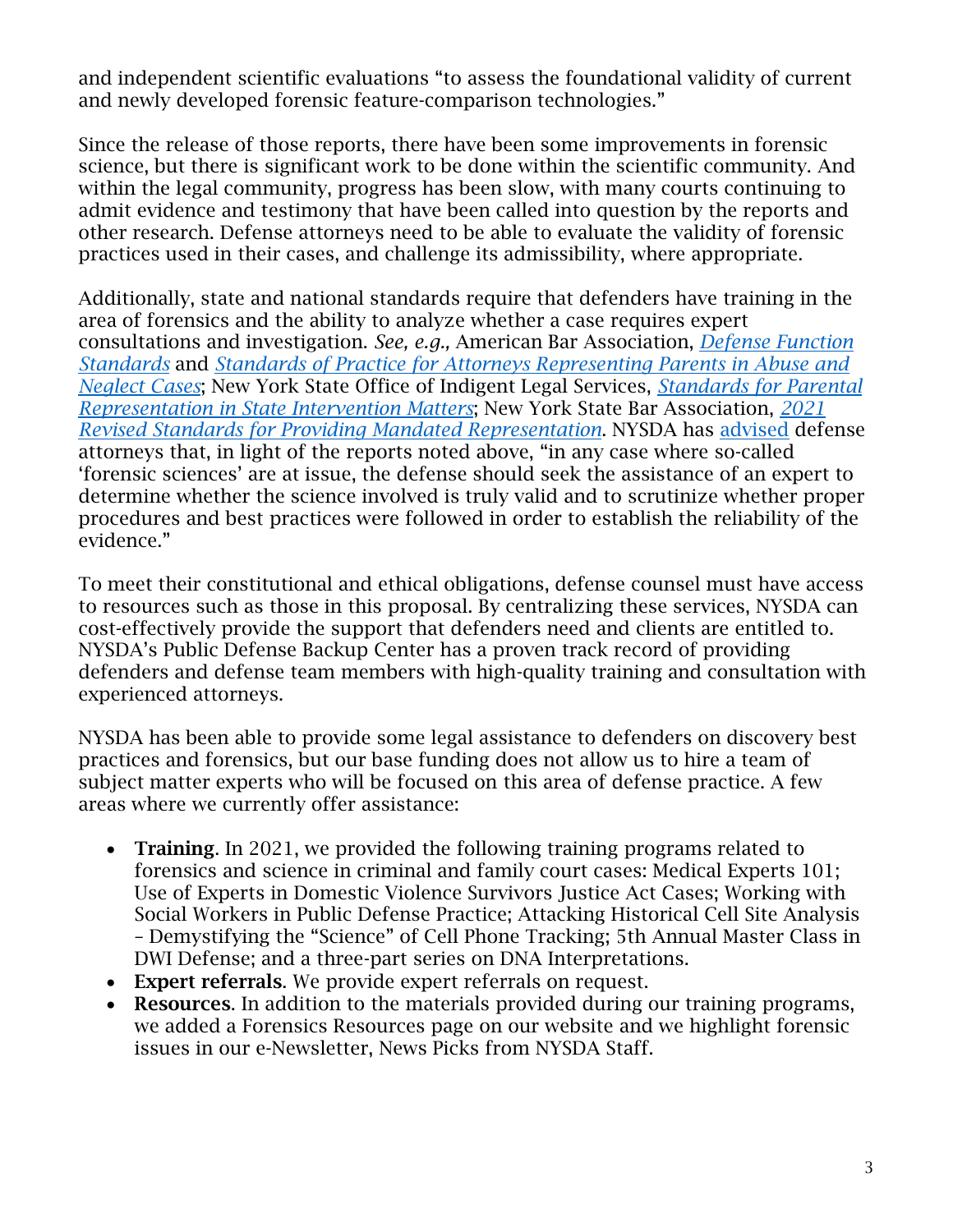and independent scientific evaluations "to assess the foundational validity of current and newly developed forensic feature-comparison technologies."

Since the release of those reports, there have been some improvements in forensic science, but there is significant work to be done within the scientific community. And within the legal community, progress has been slow, with many courts continuing to admit evidence and testimony that have been called into question by the reports and other research. Defense attorneys need to be able to evaluate the validity of forensic practices used in their cases, and challenge its admissibility, where appropriate.

Additionally, state and national standards require that defenders have training in the area of forensics and the ability to analyze whether a case requires expert consultations and investigation. *See, e.g.,* American Bar Association, *[Defense Function](https://www.americanbar.org/groups/criminal_justice/standards/DefenseFunctionFourthEdition/)  [Standards](https://www.americanbar.org/groups/criminal_justice/standards/DefenseFunctionFourthEdition/)* and *[Standards of Practice for Attorneys Representing Parents in Abuse and](https://www.americanbar.org/content/dam/aba/administrative/child_law/aba-parent-rep-stds.pdf)  [Neglect Cases](https://www.americanbar.org/content/dam/aba/administrative/child_law/aba-parent-rep-stds.pdf)*; New York State Office of Indigent Legal Services, *[Standards for Parental](https://www.ils.ny.gov/files/Parental%20Representation%20Standards%20Final%20110615.pdf)  [Representation in State Intervention Matters](https://www.ils.ny.gov/files/Parental%20Representation%20Standards%20Final%20110615.pdf)*; New York State Bar Association, *[2021](https://nysba.org/app/uploads/2020/02/Standards-for-Quality-Mandated-Rep_2021.pdf)  [Revised Standards for Providing Mandated Representation](https://nysba.org/app/uploads/2020/02/Standards-for-Quality-Mandated-Rep_2021.pdf)*. NYSDA has [advised](https://cdn.ymaws.com/www.nysda.org/resource/resmgr/PDFs--reports/722-c_Experts_2016.pdf) defense attorneys that, in light of the reports noted above, "in any case where so-called 'forensic sciences' are at issue, the defense should seek the assistance of an expert to determine whether the science involved is truly valid and to scrutinize whether proper procedures and best practices were followed in order to establish the reliability of the evidence."

To meet their constitutional and ethical obligations, defense counsel must have access to resources such as those in this proposal. By centralizing these services, NYSDA can cost-effectively provide the support that defenders need and clients are entitled to. NYSDA's Public Defense Backup Center has a proven track record of providing defenders and defense team members with high-quality training and consultation with experienced attorneys.

NYSDA has been able to provide some legal assistance to defenders on discovery best practices and forensics, but our base funding does not allow us to hire a team of subject matter experts who will be focused on this area of defense practice. A few areas where we currently offer assistance:

- **Training**. In 2021, we provided the following training programs related to forensics and science in criminal and family court cases: Medical Experts 101; Use of Experts in Domestic Violence Survivors Justice Act Cases; Working with Social Workers in Public Defense Practice; Attacking Historical Cell Site Analysis – Demystifying the "Science" of Cell Phone Tracking; 5th Annual Master Class in DWI Defense; and a three-part series on DNA Interpretations.
- **Expert referrals**. We provide expert referrals on request.
- **Resources**. In addition to the materials provided during our training programs, we added a Forensics Resources page on our website and we highlight forensic issues in our e-Newsletter, News Picks from NYSDA Staff.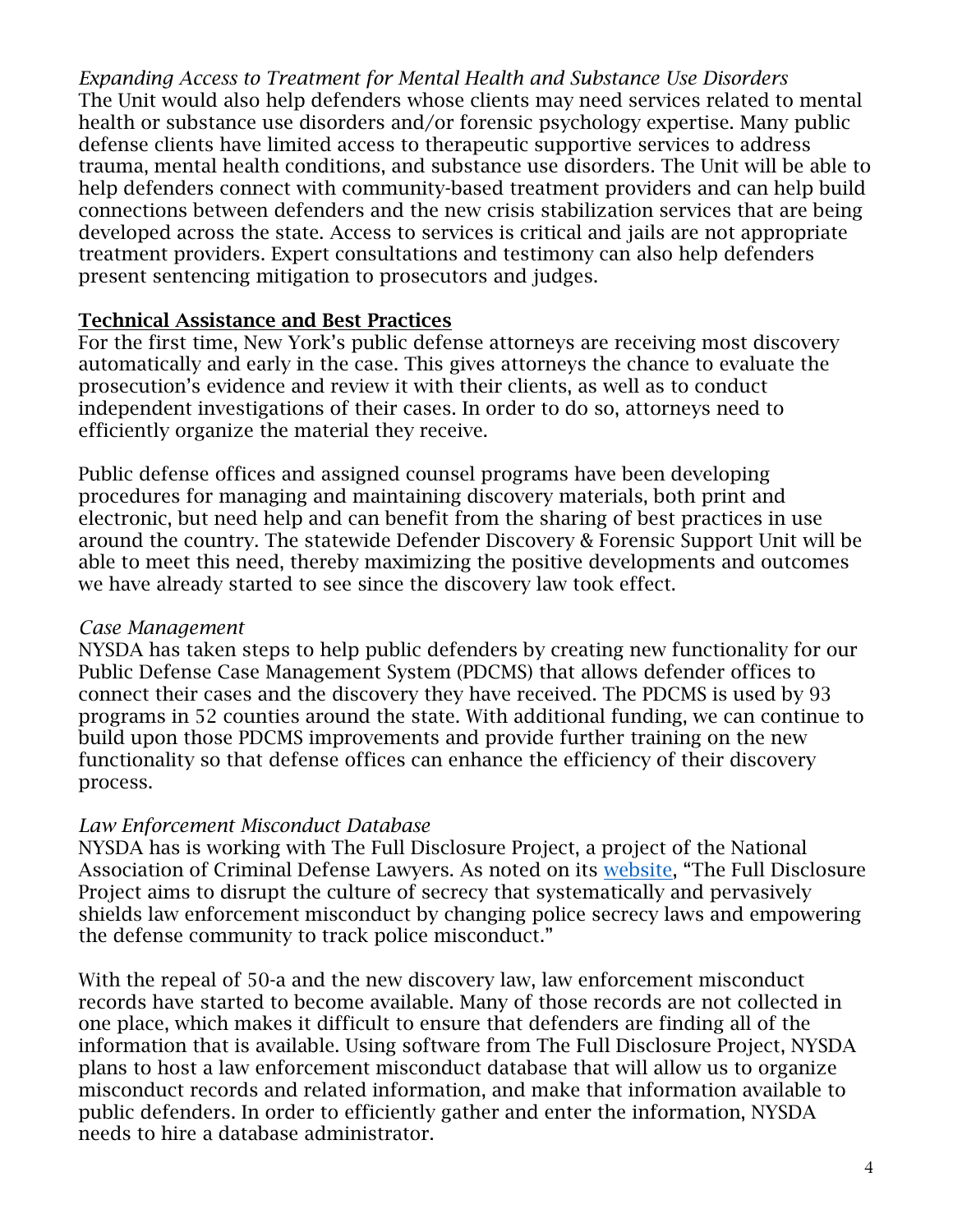*Expanding Access to Treatment for Mental Health and Substance Use Disorders* The Unit would also help defenders whose clients may need services related to mental health or substance use disorders and/or forensic psychology expertise. Many public defense clients have limited access to therapeutic supportive services to address trauma, mental health conditions, and substance use disorders. The Unit will be able to help defenders connect with community-based treatment providers and can help build connections between defenders and the new crisis stabilization services that are being developed across the state. Access to services is critical and jails are not appropriate treatment providers. Expert consultations and testimony can also help defenders present sentencing mitigation to prosecutors and judges.

# **Technical Assistance and Best Practices**

For the first time, New York's public defense attorneys are receiving most discovery automatically and early in the case. This gives attorneys the chance to evaluate the prosecution's evidence and review it with their clients, as well as to conduct independent investigations of their cases. In order to do so, attorneys need to efficiently organize the material they receive.

Public defense offices and assigned counsel programs have been developing procedures for managing and maintaining discovery materials, both print and electronic, but need help and can benefit from the sharing of best practices in use around the country. The statewide Defender Discovery & Forensic Support Unit will be able to meet this need, thereby maximizing the positive developments and outcomes we have already started to see since the discovery law took effect.

# *Case Management*

NYSDA has taken steps to help public defenders by creating new functionality for our Public Defense Case Management System (PDCMS) that allows defender offices to connect their cases and the discovery they have received. The PDCMS is used by 93 programs in 52 counties around the state. With additional funding, we can continue to build upon those PDCMS improvements and provide further training on the new functionality so that defense offices can enhance the efficiency of their discovery process.

# *Law Enforcement Misconduct Database*

NYSDA has is working with The Full Disclosure Project, a project of the National Association of Criminal Defense Lawyers. As noted on its [website](https://www.nacdl.org/Landing/FullDisclosureProject), "The Full Disclosure Project aims to disrupt the culture of secrecy that systematically and pervasively shields law enforcement misconduct by changing police secrecy laws and empowering the defense community to track police misconduct."

With the repeal of 50-a and the new discovery law, law enforcement misconduct records have started to become available. Many of those records are not collected in one place, which makes it difficult to ensure that defenders are finding all of the information that is available. Using software from The Full Disclosure Project, NYSDA plans to host a law enforcement misconduct database that will allow us to organize misconduct records and related information, and make that information available to public defenders. In order to efficiently gather and enter the information, NYSDA needs to hire a database administrator.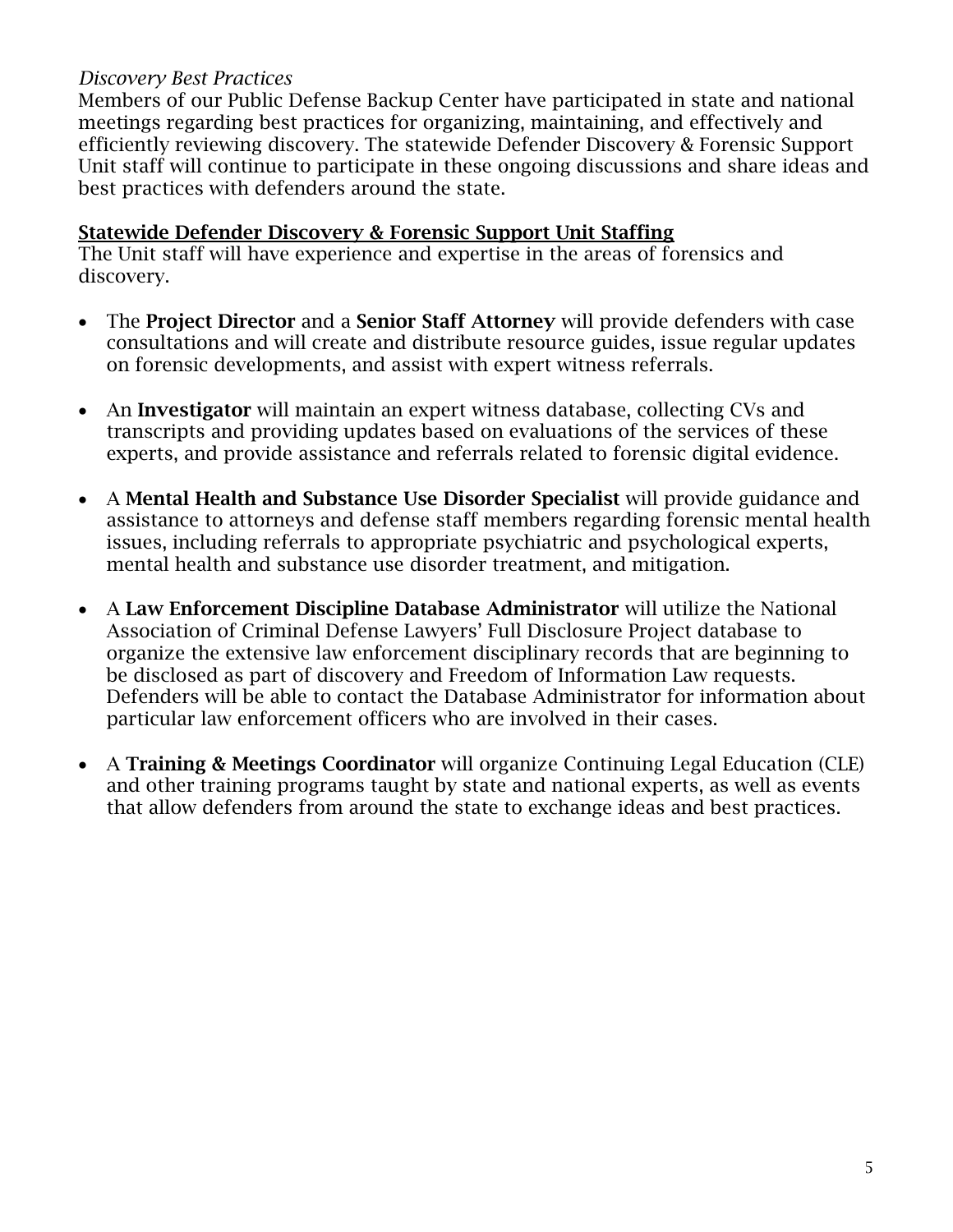# *Discovery Best Practices*

Members of our Public Defense Backup Center have participated in state and national meetings regarding best practices for organizing, maintaining, and effectively and efficiently reviewing discovery. The statewide Defender Discovery & Forensic Support Unit staff will continue to participate in these ongoing discussions and share ideas and best practices with defenders around the state.

# **Statewide Defender Discovery & Forensic Support Unit Staffing**

The Unit staff will have experience and expertise in the areas of forensics and discovery.

- The **Project Director** and a **Senior Staff Attorney** will provide defenders with case consultations and will create and distribute resource guides, issue regular updates on forensic developments, and assist with expert witness referrals.
- An **Investigator** will maintain an expert witness database, collecting CVs and transcripts and providing updates based on evaluations of the services of these experts, and provide assistance and referrals related to forensic digital evidence.
- A **Mental Health and Substance Use Disorder Specialist** will provide guidance and assistance to attorneys and defense staff members regarding forensic mental health issues, including referrals to appropriate psychiatric and psychological experts, mental health and substance use disorder treatment, and mitigation.
- A **Law Enforcement Discipline Database Administrator** will utilize the National Association of Criminal Defense Lawyers' Full Disclosure Project database to organize the extensive law enforcement disciplinary records that are beginning to be disclosed as part of discovery and Freedom of Information Law requests. Defenders will be able to contact the Database Administrator for information about particular law enforcement officers who are involved in their cases.
- A **Training & Meetings Coordinator** will organize Continuing Legal Education (CLE) and other training programs taught by state and national experts, as well as events that allow defenders from around the state to exchange ideas and best practices.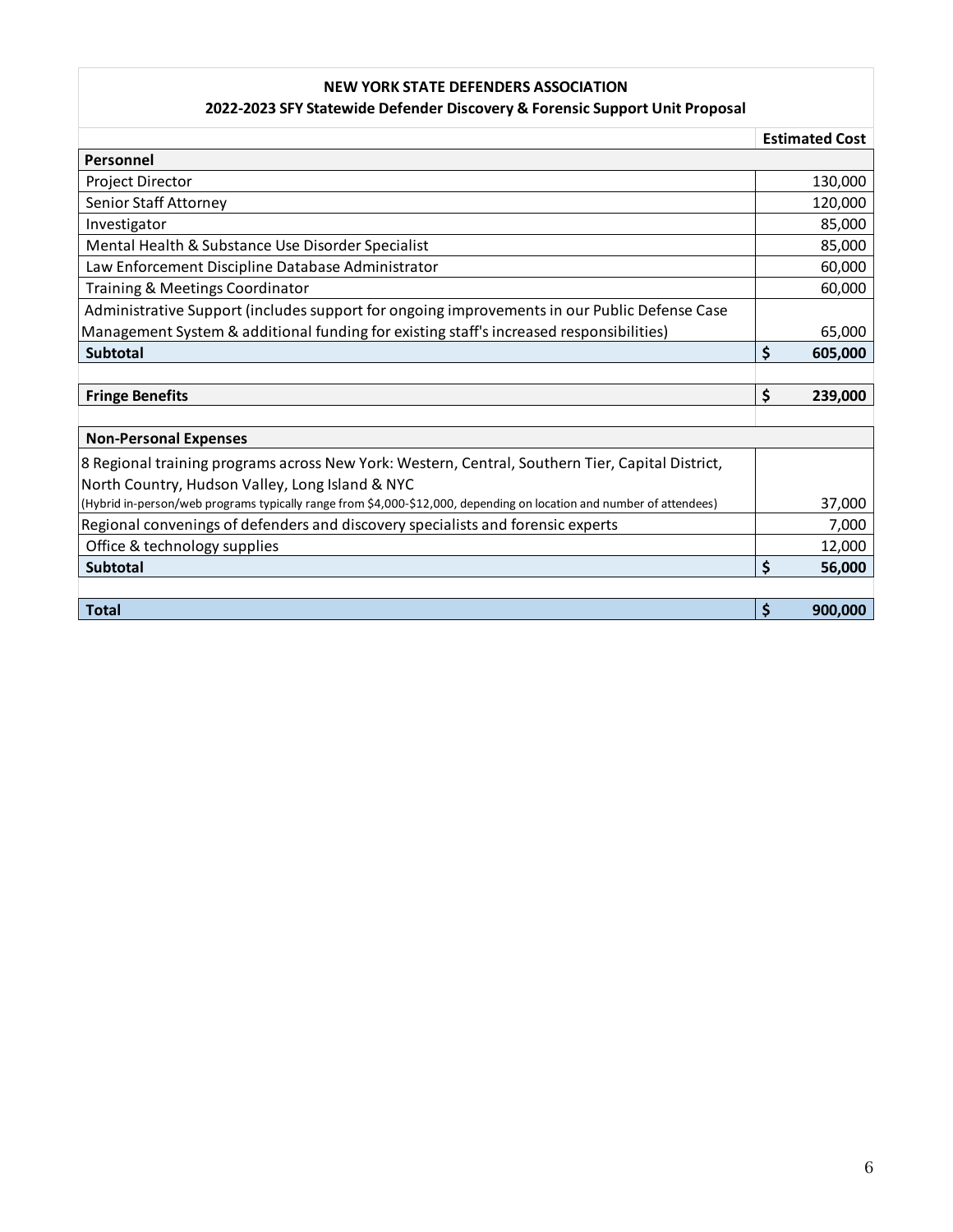#### **NEW YORK STATE DEFENDERS ASSOCIATION**

#### **2022-2023 SFY Statewide Defender Discovery & Forensic Support Unit Proposal**

|                                                                                                                      | <b>Estimated Cost</b> |
|----------------------------------------------------------------------------------------------------------------------|-----------------------|
| Personnel                                                                                                            |                       |
| Project Director                                                                                                     | 130,000               |
| Senior Staff Attorney                                                                                                | 120,000               |
| Investigator                                                                                                         | 85,000                |
| Mental Health & Substance Use Disorder Specialist                                                                    | 85,000                |
| Law Enforcement Discipline Database Administrator                                                                    | 60,000                |
| Training & Meetings Coordinator                                                                                      | 60,000                |
| Administrative Support (includes support for ongoing improvements in our Public Defense Case                         |                       |
| Management System & additional funding for existing staff's increased responsibilities)                              | 65,000                |
| Subtotal                                                                                                             | \$<br>605,000         |
|                                                                                                                      |                       |
| <b>Fringe Benefits</b>                                                                                               | \$<br>239,000         |
|                                                                                                                      |                       |
| <b>Non-Personal Expenses</b>                                                                                         |                       |
| 8 Regional training programs across New York: Western, Central, Southern Tier, Capital District,                     |                       |
| North Country, Hudson Valley, Long Island & NYC                                                                      |                       |
| (Hybrid in-person/web programs typically range from \$4,000-\$12,000, depending on location and number of attendees) | 37,000                |
| Regional convenings of defenders and discovery specialists and forensic experts                                      | 7,000                 |
| Office & technology supplies                                                                                         | 12,000                |
| <b>Subtotal</b>                                                                                                      | \$<br>56,000          |
|                                                                                                                      |                       |
| <b>Total</b>                                                                                                         | \$<br>900,000         |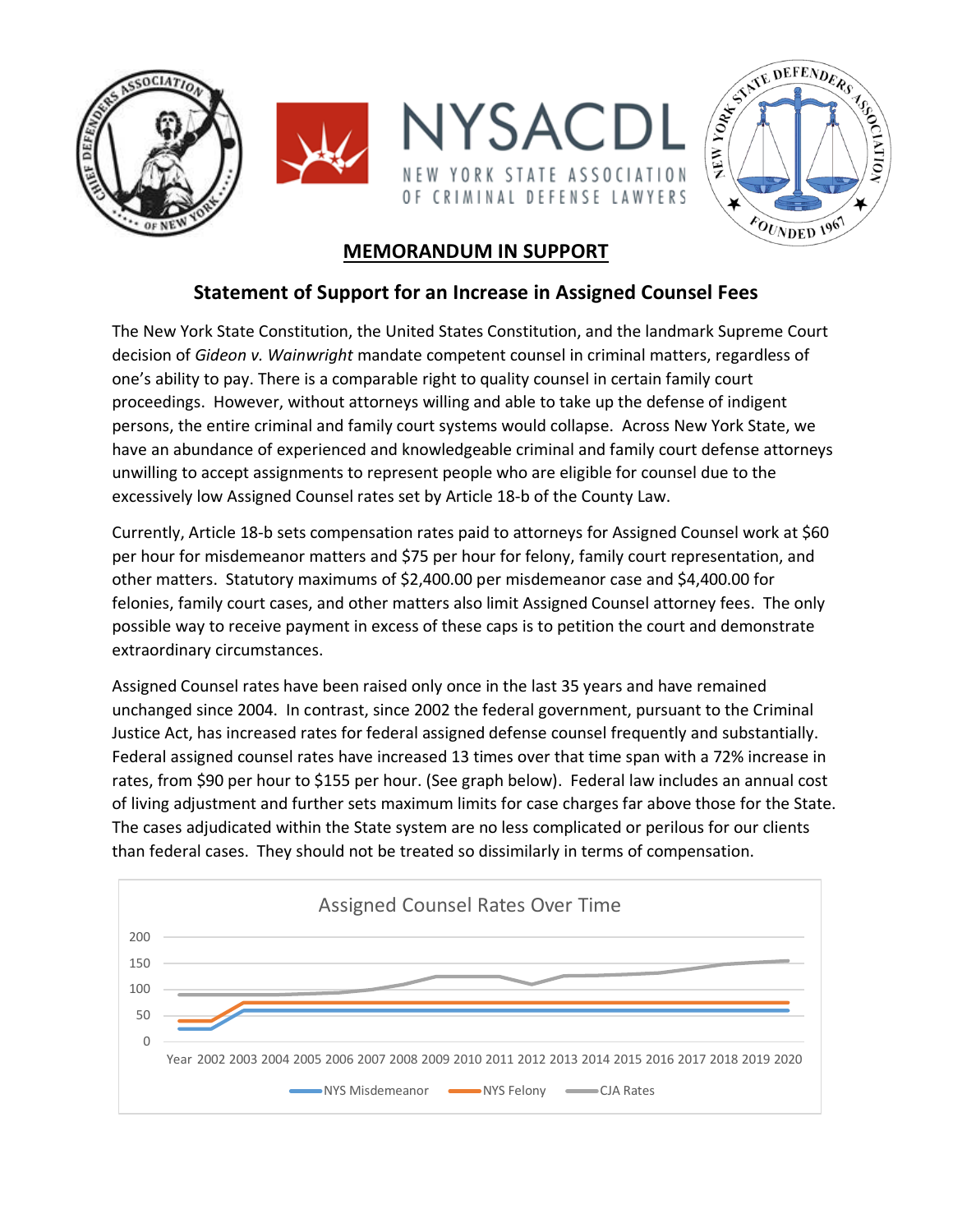



# **MEMORANDUM IN SUPPORT**

# **Statement of Support for an Increase in Assigned Counsel Fees**

The New York State Constitution, the United States Constitution, and the landmark Supreme Court decision of *Gideon v. Wainwright* mandate competent counsel in criminal matters, regardless of one's ability to pay. There is a comparable right to quality counsel in certain family court proceedings. However, without attorneys willing and able to take up the defense of indigent persons, the entire criminal and family court systems would collapse. Across New York State, we have an abundance of experienced and knowledgeable criminal and family court defense attorneys unwilling to accept assignments to represent people who are eligible for counsel due to the excessively low Assigned Counsel rates set by Article 18-b of the County Law.

Currently, Article 18-b sets compensation rates paid to attorneys for Assigned Counsel work at \$60 per hour for misdemeanor matters and \$75 per hour for felony, family court representation, and other matters. Statutory maximums of \$2,400.00 per misdemeanor case and \$4,400.00 for felonies, family court cases, and other matters also limit Assigned Counsel attorney fees. The only possible way to receive payment in excess of these caps is to petition the court and demonstrate extraordinary circumstances.

Assigned Counsel rates have been raised only once in the last 35 years and have remained unchanged since 2004. In contrast, since 2002 the federal government, pursuant to the Criminal Justice Act, has increased rates for federal assigned defense counsel frequently and substantially. Federal assigned counsel rates have increased 13 times over that time span with a 72% increase in rates, from \$90 per hour to \$155 per hour. (See graph below). Federal law includes an annual cost of living adjustment and further sets maximum limits for case charges far above those for the State. The cases adjudicated within the State system are no less complicated or perilous for our clients than federal cases. They should not be treated so dissimilarly in terms of compensation.

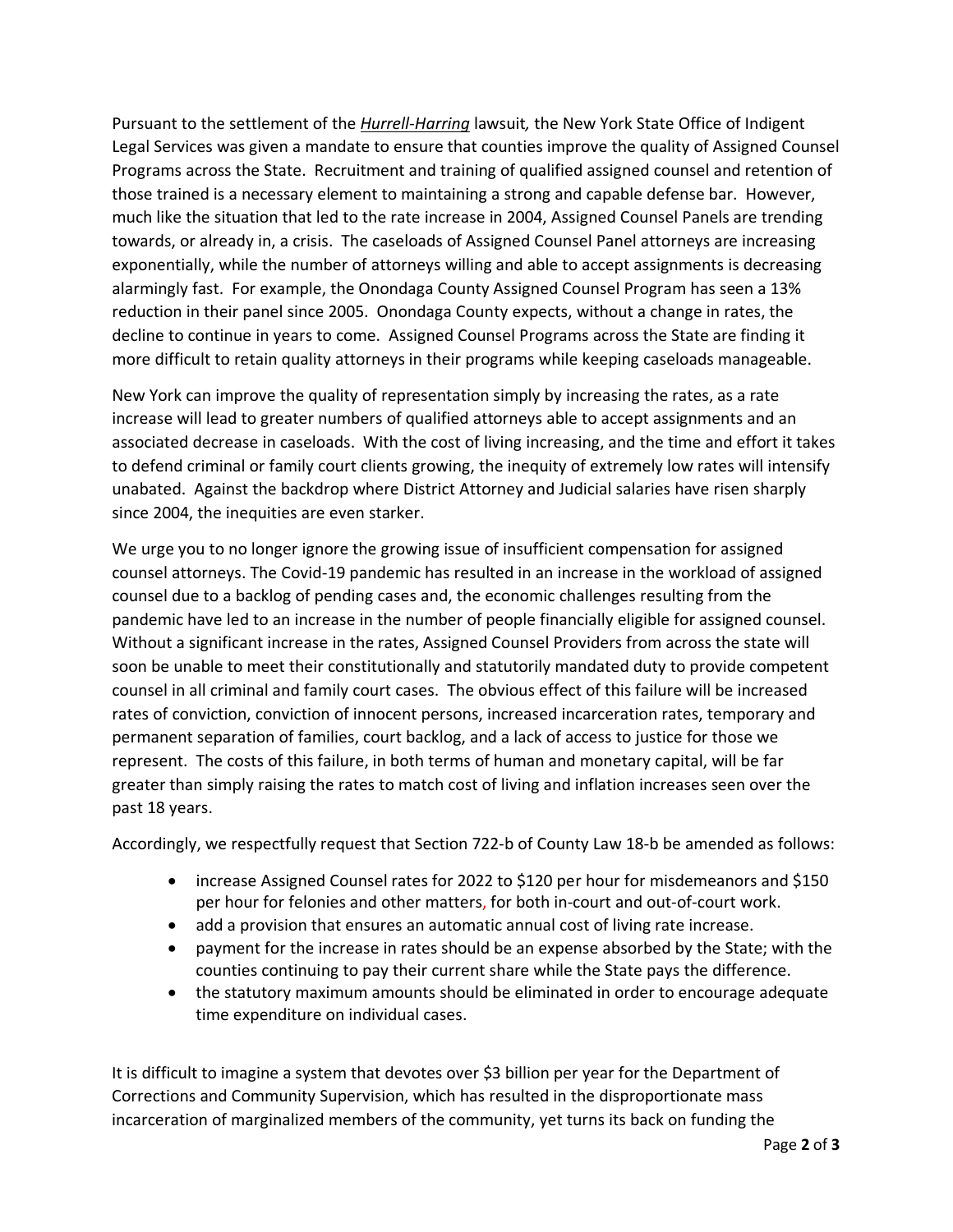Pursuant to the settlement of the *Hurrell-Harring* lawsuit*,* the New York State Office of Indigent Legal Services was given a mandate to ensure that counties improve the quality of Assigned Counsel Programs across the State. Recruitment and training of qualified assigned counsel and retention of those trained is a necessary element to maintaining a strong and capable defense bar. However, much like the situation that led to the rate increase in 2004, Assigned Counsel Panels are trending towards, or already in, a crisis. The caseloads of Assigned Counsel Panel attorneys are increasing exponentially, while the number of attorneys willing and able to accept assignments is decreasing alarmingly fast. For example, the Onondaga County Assigned Counsel Program has seen a 13% reduction in their panel since 2005. Onondaga County expects, without a change in rates, the decline to continue in years to come. Assigned Counsel Programs across the State are finding it more difficult to retain quality attorneys in their programs while keeping caseloads manageable.

New York can improve the quality of representation simply by increasing the rates, as a rate increase will lead to greater numbers of qualified attorneys able to accept assignments and an associated decrease in caseloads. With the cost of living increasing, and the time and effort it takes to defend criminal or family court clients growing, the inequity of extremely low rates will intensify unabated. Against the backdrop where District Attorney and Judicial salaries have risen sharply since 2004, the inequities are even starker.

We urge you to no longer ignore the growing issue of insufficient compensation for assigned counsel attorneys. The Covid-19 pandemic has resulted in an increase in the workload of assigned counsel due to a backlog of pending cases and, the economic challenges resulting from the pandemic have led to an increase in the number of people financially eligible for assigned counsel. Without a significant increase in the rates, Assigned Counsel Providers from across the state will soon be unable to meet their constitutionally and statutorily mandated duty to provide competent counsel in all criminal and family court cases. The obvious effect of this failure will be increased rates of conviction, conviction of innocent persons, increased incarceration rates, temporary and permanent separation of families, court backlog, and a lack of access to justice for those we represent. The costs of this failure, in both terms of human and monetary capital, will be far greater than simply raising the rates to match cost of living and inflation increases seen over the past 18 years.

Accordingly, we respectfully request that Section 722-b of County Law 18-b be amended as follows:

- increase Assigned Counsel rates for 2022 to \$120 per hour for misdemeanors and \$150 per hour for felonies and other matters, for both in-court and out-of-court work.
- add a provision that ensures an automatic annual cost of living rate increase.
- payment for the increase in rates should be an expense absorbed by the State; with the counties continuing to pay their current share while the State pays the difference.
- the statutory maximum amounts should be eliminated in order to encourage adequate time expenditure on individual cases.

It is difficult to imagine a system that devotes over \$3 billion per year for the Department of Corrections and Community Supervision, which has resulted in the disproportionate mass incarceration of marginalized members of the community, yet turns its back on funding the